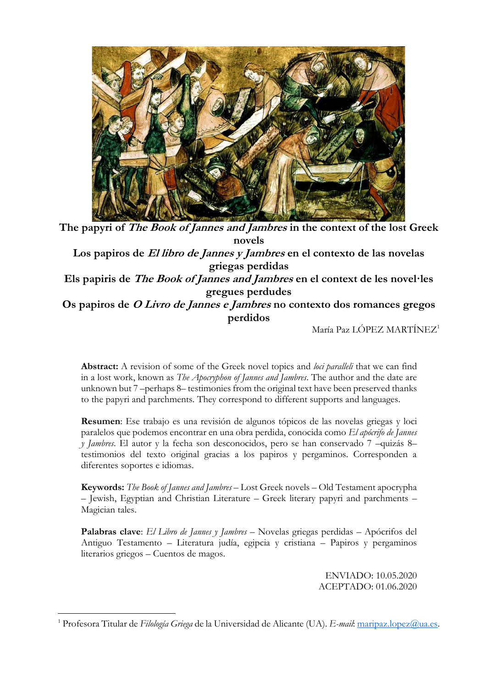

**The papyri of The Book of Jannes and Jambres in the context of the lost Greek novels Los papiros de El libro de Jannes y Jambres en el contexto de las novelas griegas perdidas Els papiris de The Book of Jannes and Jambres en el context de les novel·les gregues perdudes Os papiros de O Livro de Jannes e Jambres no contexto dos romances gregos perdidos**

María Paz LÓPEZ MARTÍNEZ<sup>1</sup>

**Abstract:** A revision of some of the Greek novel topics and *loci paralleli* that we can find in a lost work, known as *The Apocryphon of Jannes and Jambres*. The author and the date are unknown but 7 –perhaps 8– testimonies from the original text have been preserved thanks to the papyri and parchments. They correspond to different supports and languages.

**Resumen**: Ese trabajo es una revisión de algunos tópicos de las novelas griegas y loci paralelos que podemos encontrar en una obra perdida, conocida como *El apócrifo de Jannes y Jambres*. El autor y la fecha son desconocidos, pero se han conservado 7 –quizás 8– testimonios del texto original gracias a los papiros y pergaminos. Corresponden a diferentes soportes e idiomas.

**Keywords:** *The Book of Jannes and Jambres* – Lost Greek novels – Old Testament apocrypha – Jewish, Egyptian and Christian Literature – Greek literary papyri and parchments – Magician tales.

**Palabras clave**: *El Libro de Jannes y Jambres* – Novelas griegas perdidas – Apócrifos del Antiguo Testamento – Literatura judía, egipcia y cristiana – Papiros y pergaminos literarios griegos – Cuentos de magos.

> ENVIADO: 10.05.2020 ACEPTADO: 01.06.2020

<sup>1</sup> Profesora Titular de *Filología Griega* de la Universidad de Alicante (UA). *E-mail*: [maripaz.lopez@ua.es.](mailto:maripaz.lopez@ua.es)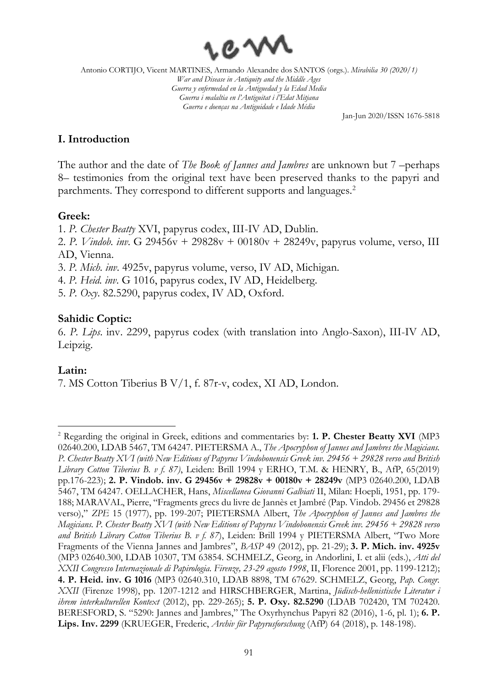

Jan-Jun 2020/ISSN 1676-5818

### **I. Introduction**

The author and the date of *The Book of Jannes and Jambres* are unknown but 7 –perhaps 8– testimonies from the original text have been preserved thanks to the papyri and parchments. They correspond to different supports and languages.<sup>2</sup>

### **Greek:**

1. *P. Chester Beatty* XVI, papyrus codex, III-IV AD, Dublin.

2. *P. Vindob. inv*. G 29456v + 29828v + 00180v + 28249v, papyrus volume, verso, III AD, Vienna.

3. *P. Mich. inv*. 4925v, papyrus volume, verso, IV AD, Michigan.

4. *P. Heid. inv*. G 1016, papyrus codex, IV AD, Heidelberg.

5. *P. Oxy*. 82.5290, papyrus codex, IV AD, Oxford.

## **Sahidic Coptic:**

6. *P. Lips*. inv. 2299, papyrus codex (with translation into Anglo-Saxon), III-IV AD, Leipzig.

## **Latin:**

7. MS Cotton Tiberius B V/1, f. 87r-v, codex, XI AD, London.

<sup>2</sup> Regarding the original in Greek, editions and commentaries by: **1. P. Chester Beatty XVI** (MP3 02640.200, LDAB 5467, TM 64247. PIETERSMA A., *The Apocryphon of Jannes and Jambres the Magicians. P. Chester Beatty XVI (with New Editions of Papyrus Vindobonensis Greek inv. 29456 + 29828 verso and British Library Cotton Tiberius B. v f. 87)*, Leiden: Brill 1994 y ERHO, T.M. & HENRY, B., AfP, 65(2019) pp.176-223); **2. P. Vindob. inv. G 29456v + 29828v + 00180v + 28249v** (MP3 02640.200, LDAB 5467, TM 64247. OELLACHER, Hans, *Miscellanea Giovanni Galbiati* II, Milan: Hoepli, 1951, pp. 179- 188; MARAVAL, Pierre, "Fragments grecs du livre de Jannès et Jambré (Pap. Vindob. 29456 et 29828 verso)," *ZPE* 15 (1977), pp. 199-207; PIETERSMA Albert, *The Apocryphon of Jannes and Jambres the Magicians. P. Chester Beatty XVI (with New Editions of Papyrus Vindobonensis Greek inv. 29456 + 29828 verso and British Library Cotton Tiberius B. v f. 87*), Leiden: Brill 1994 y PIETERSMA Albert, "Two More Fragments of the Vienna Jannes and Jambres", *BASP* 49 (2012), pp. 21-29); **3. P. Mich. inv. 4925v** (MP3 02640.300, LDAB 10307, TM 63854. SCHMELZ, Georg, in Andorlini, I. et alii (eds.), *Atti del XXII Congresso Internazionale di Papirologia. Firenze, 23-29 agosto 1998*, II, Florence 2001, pp. 1199-1212); **4. P. Heid. inv. G 1016** (MP3 02640.310, LDAB 8898, TM 67629. SCHMELZ, Georg, *Pap. Congr. XXII* (Firenze 1998), pp. 1207-1212 and HIRSCHBERGER, Martina, *Jüdisch-hellenistische Literatur i ihrem interkulturellen Kontext* (2012), pp. 229-265); **5. P. Oxy. 82.5290** (LDAB 702420, TM 702420. BERESFORD, S. "5290: Jannes and Jambres," The Oxyrhynchus Papyri 82 (2016), 1-6, pl. 1); **6. P. Lips. Inv. 2299** (KRUEGER, Frederic, *Archiv für Papyrusforschung* (AfP) 64 (2018), p. 148-198).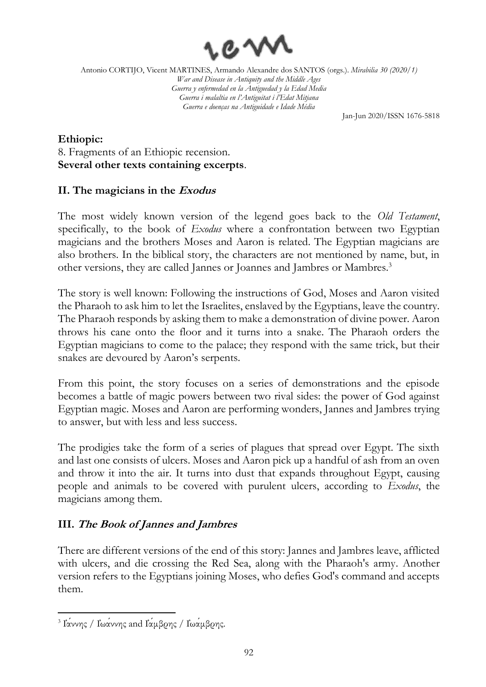

Jan-Jun 2020/ISSN 1676-5818

## **Ethiopic:** 8. Fragments of an Ethiopic recension. **Several other texts containing excerpts**.

# **II. The magicians in the Exodus**

The most widely known version of the legend goes back to the *Old Testament*, specifically, to the book of *Exodus* where a confrontation between two Egyptian magicians and the brothers Moses and Aaron is related. The Egyptian magicians are also brothers. In the biblical story, the characters are not mentioned by name, but, in other versions, they are called Jannes or Joannes and Jambres or Mambres.<sup>3</sup>

The story is well known: Following the instructions of God, Moses and Aaron visited the Pharaoh to ask him to let the Israelites, enslaved by the Egyptians, leave the country. The Pharaoh responds by asking them to make a demonstration of divine power. Aaron throws his cane onto the floor and it turns into a snake. The Pharaoh orders the Egyptian magicians to come to the palace; they respond with the same trick, but their snakes are devoured by Aaron's serpents.

From this point, the story focuses on a series of demonstrations and the episode becomes a battle of magic powers between two rival sides: the power of God against Egyptian magic. Moses and Aaron are performing wonders, Jannes and Jambres trying to answer, but with less and less success.

The prodigies take the form of a series of plagues that spread over Egypt. The sixth and last one consists of ulcers. Moses and Aaron pick up a handful of ash from an oven and throw it into the air. It turns into dust that expands throughout Egypt, causing people and animals to be covered with purulent ulcers, according to *Exodus*, the magicians among them.

# **III. The Book of Jannes and Jambres**

There are different versions of the end of this story: Jannes and Jambres leave, afflicted with ulcers, and die crossing the Red Sea, along with the Pharaoh's army. Another version refers to the Egyptians joining Moses, who defies God's command and accepts them.

<sup>3</sup> Ἰάννης / Ἰωάννης and Ἰάμβρης / Ἰωάμβρης.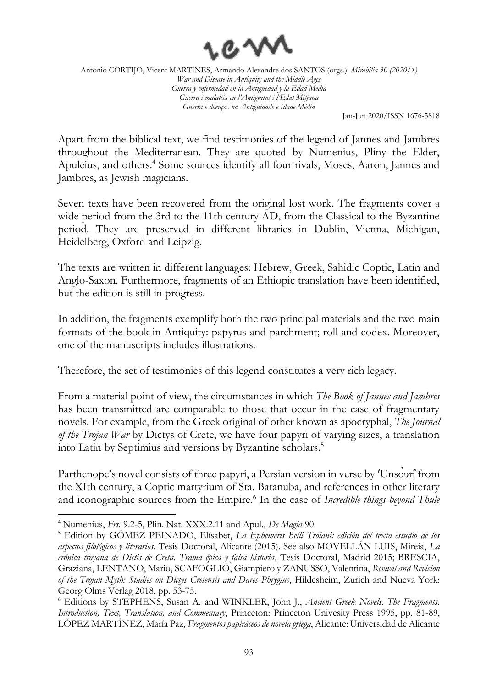

Jan-Jun 2020/ISSN 1676-5818

Apart from the biblical text, we find testimonies of the legend of Jannes and Jambres throughout the Mediterranean. They are quoted by Numenius, Pliny the Elder, Apuleius, and others.<sup>4</sup> Some sources identify all four rivals, Moses, Aaron, Jannes and Jambres, as Jewish magicians.

Seven texts have been recovered from the original lost work. The fragments cover a wide period from the 3rd to the 11th century AD, from the Classical to the Byzantine period. They are preserved in different libraries in Dublin, Vienna, Michigan, Heidelberg, Oxford and Leipzig.

The texts are written in different languages: Hebrew, Greek, Sahidic Coptic, Latin and Anglo-Saxon. Furthermore, fragments of an Ethiopic translation have been identified, but the edition is still in progress.

In addition, the fragments exemplify both the two principal materials and the two main formats of the book in Antiquity: papyrus and parchment; roll and codex. Moreover, one of the manuscripts includes illustrations.

Therefore, the set of testimonies of this legend constitutes a very rich legacy.

From a material point of view, the circumstances in which *The Book of Jannes and Jambres* has been transmitted are comparable to those that occur in the case of fragmentary novels. For example, from the Greek original of other known as apocryphal, *The Journal of the Trojan War* by Dictys of Crete, we have four papyri of varying sizes, a translation into Latin by Septimius and versions by Byzantine scholars.<sup>5</sup>

Parthenope's novel consists of three papyri, a Persian version in verse by 'Unsouri<sup>f</sup>rom the XIth century, a Coptic martyrium of Sta. Batanuba, and references in other literary and iconographic sources from the Empire.<sup>6</sup> In the case of *Incredible things beyond Thule* 

<sup>4</sup> Numenius, *Frs.* 9.2-5, Plin. Nat. XXX.2.11 and Apul., *De Magia* 90.

<sup>5</sup> Edition by GÓMEZ PEINADO, Elísabet, *La Ephemeris Belli Troiani: edición del texto estudio de los aspectos filológicos y literarios*. Tesis Doctoral, Alicante (2015). See also MOVELLÁN LUIS, Mireia, *La crónica troyana de Dictis de Creta. Trama épica y falsa historia*, Tesis Doctoral, Madrid 2015; BRESCIA, Graziana, LENTANO, Mario, SCAFOGLIO, Giampiero y ZANUSSO, Valentina, *Revival and Revision of the Trojan Myth: Studies on Dictys Cretensis and Dares Phrygius*, Hildesheim, Zurich and Nueva York: Georg Olms Verlag 2018, pp. 53-75.

<sup>6</sup> Editions by STEPHENS, Susan A. and WINKLER, John J., *Ancient Greek Novels. The Fragments. Introduction, Text, Translation, and Commentary*, Princeton: Princeton Univesity Press 1995, pp. 81-89, LÓPEZ MARTÍNEZ, María Paz, *Fragmentos papiráceos de novela griega*, Alicante: Universidad de Alicante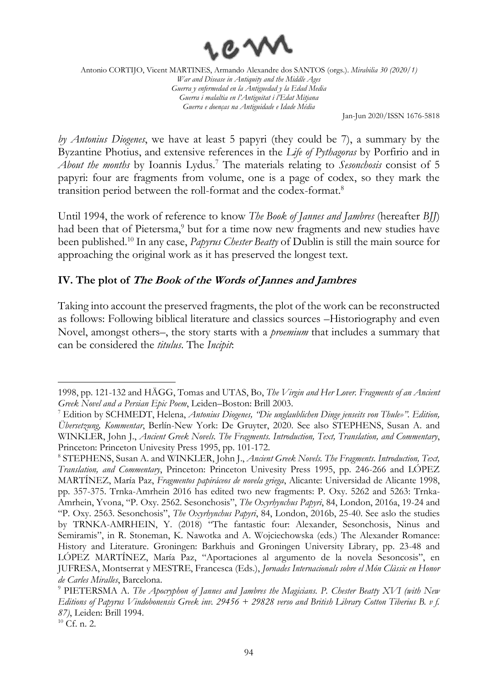

Jan-Jun 2020/ISSN 1676-5818

*by Antonius Diogenes*, we have at least 5 papyri (they could be 7), a summary by the Byzantine Photius, and extensive references in the *Life of Pythagoras* by Porfirio and in *About the months* by Ioannis Lydus.<sup>7</sup> The materials relating to *Sesonchosis* consist of 5 papyri: four are fragments from volume, one is a page of codex, so they mark the transition period between the roll-format and the codex-format.<sup>8</sup>

Until 1994, the work of reference to know *The Book of Jannes and Jambres* (hereafter *BJJ*) had been that of Pietersma,<sup>9</sup> but for a time now new fragments and new studies have been published.<sup>10</sup> In any case, *Papyrus Chester Beatty* of Dublin is still the main source for approaching the original work as it has preserved the longest text.

## **IV. The plot of The Book of the Words of Jannes and Jambres**

Taking into account the preserved fragments, the plot of the work can be reconstructed as follows: Following biblical literature and classics sources –Historiography and even Novel, amongst others–, the story starts with a *proemium* that includes a summary that can be considered the *titulus*. The *Incipit*:

<sup>1998,</sup> pp. 121-132 and HÄGG, Tomas and UTAS, Bo, *The Virgin and Her Lover. Fragments of an Ancient Greek Novel and a Persian Epic Poem*, Leiden–Boston: Brill 2003.

<sup>7</sup> Edition by SCHMEDT, Helena, *Antonius Diogenes, "Die unglaublichen Dinge jenseits von Thule»". Edition, Übersetzung, Kommentar*, Berlín-New York: De Gruyter, 2020. See also STEPHENS, Susan A. and WINKLER, John J., *Ancient Greek Novels. The Fragments. Introduction, Text, Translation, and Commentary*, Princeton: Princeton Univesity Press 1995, pp. 101-172.

<sup>8</sup> STEPHENS, Susan A. and WINKLER, John J., *Ancient Greek Novels. The Fragments. Introduction, Text, Translation, and Commentary*, Princeton: Princeton Univesity Press 1995, pp. 246-266 and LÓPEZ MARTÍNEZ, María Paz, *Fragmentos papiráceos de novela griega*, Alicante: Universidad de Alicante 1998, pp. 357-375. Trnka-Amrhein 2016 has edited two new fragments: P. Oxy. 5262 and 5263: Trnka-Amrhein, Yvona, "P. Oxy. 2562. Sesonchosis", *The Oxyrhynchus Papyri*, 84, London, 2016a, 19-24 and "P. Oxy. 2563. Sesonchosis", *The Oxyrhynchus Papyri*, 84, London, 2016b, 25-40. See aslo the studies by TRNKA-AMRHEIN, Y. (2018) "The fantastic four: Alexander, Sesonchosis, Ninus and Semiramis", in R. Stoneman, K. Nawotka and A. Wojciechowska (eds.) The Alexander Romance: History and Literature. Groningen: Barkhuis and Groningen University Library, pp. 23-48 and LÓPEZ MARTÍNEZ, María Paz, "Aportaciones al argumento de la novela Sesoncosis", en JUFRESA, Montserrat y MESTRE, Francesca (Eds.), *Jornades Internacionals sobre el Món Clàssic en Honor de Carles Miralles*, Barcelona.

<sup>9</sup> PIETERSMA A. *The Apocryphon of Jannes and Jambres the Magicians. P. Chester Beatty XVI (with New Editions of Papyrus Vindobonensis Greek inv. 29456 + 29828 verso and British Library Cotton Tiberius B. v f. 87)*, Leiden: Brill 1994.

 $10$  Cf. n. 2.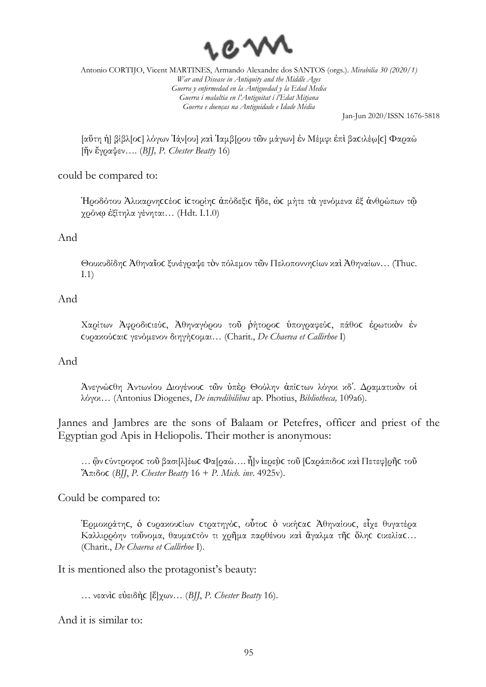

Jan-Jun 2020/ISSN 1676-5818

[αὕτη ἡ] β̣ί̣βλ[οϲ] λόγων Ἰάν̣[ου] κ̣αὶ Ἰαμβ̣[ρου τῶν μάγων] ἐν Μέμφι ἐπὶ βαϲιλέω̣[ϲ] Φαραώ [ἥν ἔγραψεν…. (*BJJ, P. Chester Beatty* 16)

### could be compared to:

Ἡροδότου Ἁλικαρνηϲϲέοϲ ἱϲτορίηϲ ἀπόδεξιϲ ἥδε, ὡϲ μήτε τὰ γενόμενα ἐξ ἀνθρώπων τῷ χρόνῳ ἐξίτηλα γένηται… (Hdt. I.1.0)

#### And

Θουκυδίδης Άθηναΐος ξυνέγραψε τὸν πόλεμον τῶν Πελοποννηςίων καὶ Ἀθηναίων... (Thuc. I.1)

#### And

Χαρίτων Ἀφροδιϲιεύϲ, Ἀθηναγόρου τοῦ ῥήτοροϲ ὑπογραφεύϲ, πάθοϲ ἐρωτικὸν ἐν ϲυρακούϲαιϲ γενόμενον διηγήϲομαι… (Charit., *De Chaerea et Callirhoe* I)

#### And

Ἀνεγνώϲθη Ἀντωνίου Διογένουϲ τῶν ὑπὲρ Θούλην ἀπίϲτων λόγοι κδʹ. Δραματικὸν οἱ λόγοι… (Antonius Diogenes, *De incredibilibus* ap. Photius, *Bibliotheca,* 109a6).

Jannes and Jambres are the sons of Balaam or Petefres, officer and priest of the Egyptian god Apis in Heliopolis. Their mother is anonymous:

… ὢ̣ν ϲύντροφοϲ τοῦ βασι[λ]έωϲ Φα[ραώ…. ἦ]ν ἱερεὺ̣ϲ τοῦ [Ϲαράπιδοϲ καὶ Πετεφ]ρῆϲ τοῦ Ἄπιδοϲ (*BJJ*, *P. Chester Beatty* 16 + *P. Mich. inv*. 4925v).

Could be compared to:

Ἑρμοκράτηϲ, ὁ ϲυρακουϲίων ϲτρατηγόϲ, οὗτοϲ ὁ νικήϲαϲ Ἀθηναίουϲ, εἶχε θυγατέρα Καλλιρρόην τοὔνομα, θαυμαϲτόν τι χρῆμα παρθένου καὶ ἄγαλμα τῆϲ ὅληϲ ϲικελίαϲ… (Charit., *De Chaerea et Callirhoe* I).

It is mentioned also the protagonist's beauty:

… νεανὶϲ εὐειδὴϲ̣ [ἔ]χων… (*BJJ*, *P. Chester Beatty* 16).

And it is similar to: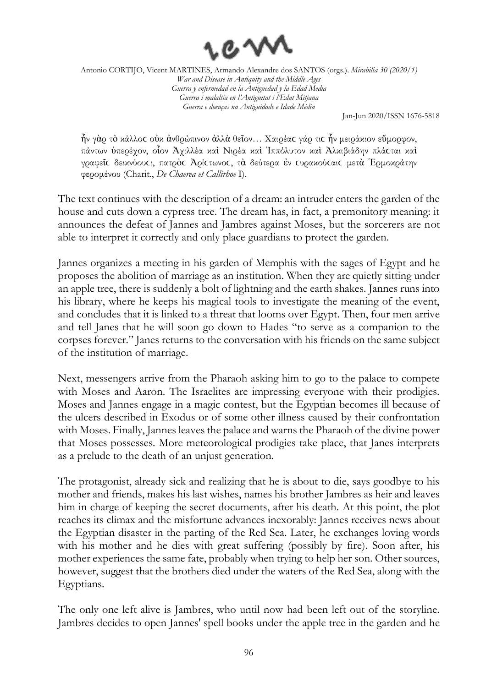

Jan-Jun 2020/ISSN 1676-5818

ἦν γὰρ τὸ κάλλοϲ οὐκ ἀνθρώπινον ἀλλὰ θεῖον… Χαιρέαϲ γάρ τιϲ ἦν μειράκιον εὔμορφον, πάντων ὑπερέχον, οἷον Ἀχιλλέα καὶ Νιρέα καὶ Ἱππόλυτον καὶ Ἀλκιβιάδην πλάϲται καὶ γραφεῖϲ δεικνύουϲι, πατρὸϲ Ἀρίϲτωνοϲ, τὰ δεύτερα ἐν ϲυρακούϲαιϲ μετὰ Ἑρμοκράτην φερομένου (Charit., *De Chaerea et Callirhoe* I).

The text continues with the description of a dream: an intruder enters the garden of the house and cuts down a cypress tree. The dream has, in fact, a premonitory meaning: it announces the defeat of Jannes and Jambres against Moses, but the sorcerers are not able to interpret it correctly and only place guardians to protect the garden.

Jannes organizes a meeting in his garden of Memphis with the sages of Egypt and he proposes the abolition of marriage as an institution. When they are quietly sitting under an apple tree, there is suddenly a bolt of lightning and the earth shakes. Jannes runs into his library, where he keeps his magical tools to investigate the meaning of the event, and concludes that it is linked to a threat that looms over Egypt. Then, four men arrive and tell Janes that he will soon go down to Hades "to serve as a companion to the corpses forever." Janes returns to the conversation with his friends on the same subject of the institution of marriage.

Next, messengers arrive from the Pharaoh asking him to go to the palace to compete with Moses and Aaron. The Israelites are impressing everyone with their prodigies. Moses and Jannes engage in a magic contest, but the Egyptian becomes ill because of the ulcers described in Exodus or of some other illness caused by their confrontation with Moses. Finally, Jannes leaves the palace and warns the Pharaoh of the divine power that Moses possesses. More meteorological prodigies take place, that Janes interprets as a prelude to the death of an unjust generation.

The protagonist, already sick and realizing that he is about to die, says goodbye to his mother and friends, makes his last wishes, names his brother Jambres as heir and leaves him in charge of keeping the secret documents, after his death. At this point, the plot reaches its climax and the misfortune advances inexorably: Jannes receives news about the Egyptian disaster in the parting of the Red Sea. Later, he exchanges loving words with his mother and he dies with great suffering (possibly by fire). Soon after, his mother experiences the same fate, probably when trying to help her son. Other sources, however, suggest that the brothers died under the waters of the Red Sea, along with the Egyptians.

The only one left alive is Jambres, who until now had been left out of the storyline. Jambres decides to open Jannes' spell books under the apple tree in the garden and he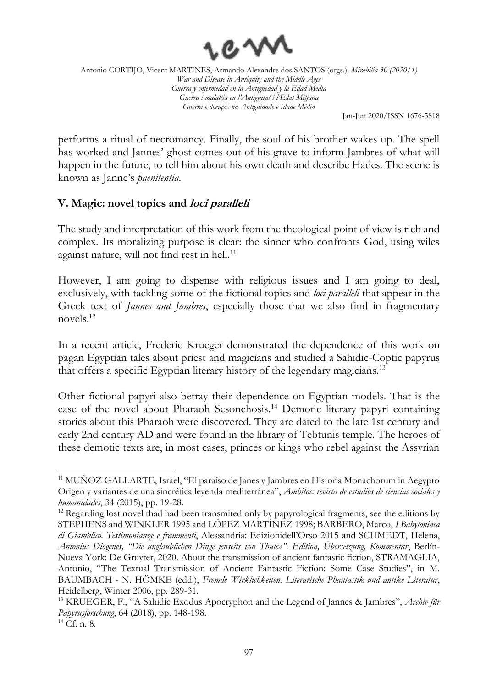

Jan-Jun 2020/ISSN 1676-5818

performs a ritual of necromancy. Finally, the soul of his brother wakes up. The spell has worked and Jannes' ghost comes out of his grave to inform Jambres of what will happen in the future, to tell him about his own death and describe Hades. The scene is known as Janne's *paenitentia*.

## **V. Magic: novel topics and loci paralleli**

The study and interpretation of this work from the theological point of view is rich and complex. Its moralizing purpose is clear: the sinner who confronts God, using wiles against nature, will not find rest in hell.<sup>11</sup>

However, I am going to dispense with religious issues and I am going to deal, exclusively, with tackling some of the fictional topics and *loci paralleli* that appear in the Greek text of *Jannes and Jambres*, especially those that we also find in fragmentary novels.<sup>12</sup>

In a recent article, Frederic Krueger demonstrated the dependence of this work on pagan Egyptian tales about priest and magicians and studied a Sahidic-Coptic papyrus that offers a specific Egyptian literary history of the legendary magicians.<sup>13</sup>

Other fictional papyri also betray their dependence on Egyptian models. That is the case of the novel about Pharaoh Sesonchosis.<sup>14</sup> Demotic literary papyri containing stories about this Pharaoh were discovered. They are dated to the late 1st century and early 2nd century AD and were found in the library of Tebtunis temple. The heroes of these demotic texts are, in most cases, princes or kings who rebel against the Assyrian

<sup>&</sup>lt;sup>11</sup> MUÑOZ GALLARTE, Israel, "El paraíso de Janes y Jambres en Historia Monachorum in Aegypto Origen y variantes de una sincrética leyenda mediterránea", *Ambitos: revista de estudios de ciencias sociales y humanidades*, 34 (2015), pp. 19-28.

<sup>&</sup>lt;sup>12</sup> Regarding lost novel thad had been transmited only by papyrological fragments, see the editions by STEPHENS and WINKLER 1995 and LÓPEZ MARTÍNEZ 1998; BARBERO, Marco, *I Babyloniaca di Giamblico. Testimonianze e frammenti*, Alessandria: Edizionidell'Orso 2015 and SCHMEDT, Helena, *Antonius Diogenes, "Die unglaublichen Dinge jenseits von Thule»". Edition, Übersetzung, Kommentar*, Berlín-Nueva York: De Gruyter, 2020. About the transmission of ancient fantastic fiction, STRAMAGLIA, Antonio, "The Textual Transmission of Ancient Fantastic Fiction: Some Case Studies", in M. BAUMBACH - N. HÖMKE (edd.), *Fremde Wirklichkeiten. Literarische Phantastik und antike Literatur*, Heidelberg, Winter 2006, pp. 289-31.

<sup>13</sup> KRUEGER, F., "A Sahidic Exodus Apocryphon and the Legend of Jannes & Jambres", *Archiv für Papyrusforschung*, 64 (2018), pp. 148-198.

<sup>14</sup> Cf. n. 8.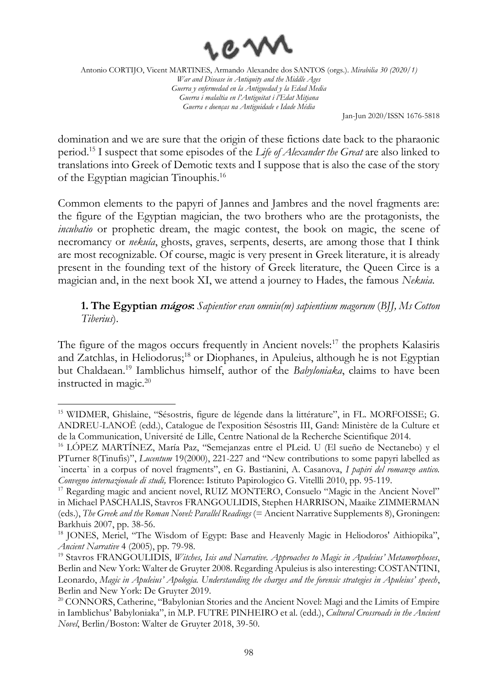

Jan-Jun 2020/ISSN 1676-5818

domination and we are sure that the origin of these fictions date back to the pharaonic period.<sup>15</sup> I suspect that some episodes of the *Life of Alexander the Great* are also linked to translations into Greek of Demotic texts and I suppose that is also the case of the story of the Egyptian magician Tinouphis.<sup>16</sup>

Common elements to the papyri of Jannes and Jambres and the novel fragments are: the figure of the Egyptian magician, the two brothers who are the protagonists, the *incubatio* or prophetic dream, the magic contest, the book on magic, the scene of necromancy or *nekuía*, ghosts, graves, serpents, deserts, are among those that I think are most recognizable. Of course, magic is very present in Greek literature, it is already present in the founding text of the history of Greek literature, the Queen Circe is a magician and, in the next book XI, we attend a journey to Hades, the famous *Nekuia*.

**1. The Egyptian mágos:** *Sapientior eran omniu(m) sapientium magorum* (*BJJ, Ms Cotton Tiberius*).

The figure of the magos occurs frequently in Ancient novels:<sup>17</sup> the prophets Kalasiris and Zatchlas, in Heliodorus;<sup>18</sup> or Diophanes, in Apuleius, although he is not Egyptian but Chaldaean.<sup>19</sup> Iamblichus himself, author of the *Babyloniaka*, claims to have been instructed in magic.<sup>20</sup>

<sup>15</sup> WIDMER, Ghislaine, "Sésostris, figure de légende dans la littérature", in FL. MORFOISSE; G. ANDREU-LANOË (edd.), Catalogue de l'exposition Sésostris III, Gand: Ministère de la Culture et de la Communication, Université de Lille, Centre National de la Recherche Scientifique 2014.

<sup>16</sup> LÓPEZ MARTÍNEZ, María Paz, "Semejanzas entre el PLeid. U (El sueño de Nectanebo) y el PTurner 8(Tinufis)", *Lucentum* 19(2000), 221-227 and "New contributions to some papyri labelled as `incerta` in a corpus of novel fragments", en G. Bastianini, A. Casanova, *I papiri del romanzo antico. Convegno internazionale di studi,* Florence: Istituto Papirologico G. Vitellli 2010, pp. 95-119.

<sup>&</sup>lt;sup>17</sup> Regarding magic and ancient novel, RUIZ MONTERO, Consuelo "Magic in the Ancient Novel" in Michael PASCHALIS, Stavros FRANGOULIDIS, Stephen HARRISON, Maaike ZIMMERMAN (eds.), *The Greek and the Roman Novel: Parallel Readings* (= Ancient Narrative Supplements 8), Groningen: Barkhuis 2007, pp. 38-56.

<sup>&</sup>lt;sup>18</sup> JONES, Meriel, "The Wisdom of Egypt: Base and Heavenly Magic in Heliodoros' Aithiopika", *Ancient Narrative* 4 (2005), pp. 79-98.

<sup>19</sup> Stavros FRANGOULIDIS, *Witches, Isis and Narrative. Approaches to Magic in Apuleius' Metamorphoses*, Berlin and New York: Walter de Gruyter 2008. Regarding Apuleius is also interesting: COSTANTINI, Leonardo, *Magic in Apuleius' Apologia. Understanding the charges and the forensic strategies in Apuleius' speech*, Berlin and New York: De Gruyter 2019.

<sup>&</sup>lt;sup>20</sup> CONNORS, Catherine, "Babylonian Stories and the Ancient Novel: Magi and the Limits of Empire in Iamblichus' Babyloniaka", in M.P. FUTRE PINHEIRO et al. (edd.), *Cultural Crossroads in the Ancient Novel*, Berlin/Boston: Walter de Gruyter 2018, 39-50.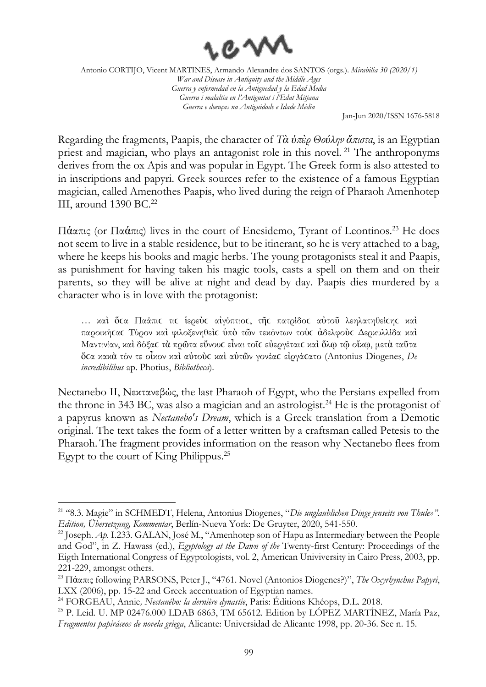

Jan-Jun 2020/ISSN 1676-5818

Regarding the fragments, Paapis, the character of *Τὰ ὑπὲρ Θούλην ἄπιστα*, is an Egyptian priest and magician, who plays an antagonist role in this novel.<sup>21</sup> The anthroponyms derives from the ox Apis and was popular in Egypt. The Greek form is also attested to in inscriptions and papyri. Greek sources refer to the existence of a famous Egyptian magician, called Amenothes Paapis, who lived during the reign of Pharaoh Amenhotep III, around 1390 BC.<sup>22</sup>

Πάαπις (or Παάπις) lives in the court of Enesidemo, Tyrant of Leontinos.<sup>23</sup> He does not seem to live in a stable residence, but to be itinerant, so he is very attached to a bag, where he keeps his books and magic herbs. The young protagonists steal it and Paapis, as punishment for having taken his magic tools, casts a spell on them and on their parents, so they will be alive at night and dead by day. Paapis dies murdered by a character who is in love with the protagonist:

… καὶ ὅϲα Παάπιϲ τιϲ ἱερεὺϲ αἰγύπτιοϲ, τῆϲ πατρίδοϲ αὐτοῦ λεηλατηθείϲηϲ καὶ παροικήϲαϲ Τύρον καὶ φιλοξενηθεὶϲ ὑπὸ τῶν τεκόντων τοὺϲ ἀδελφοὺϲ Δερκυλλίδα καὶ Μαντινίαν, καὶ δόξαϲ τὰ πρῶτα εὔνουϲ εἶναι τοῖϲ εὐεργέταιϲ καὶ ὅλῳ τῷ οἴκῳ, μετὰ ταῦτα ὅϲα κακὰ τόν τε οἶκον καὶ αὐτοὺϲ καὶ αὐτῶν γονέαϲ εἰργάϲατο (Antonius Diogenes, *De incredibilibus* ap. Photius, *Bibliotheca*).

Nectanebo II, Νεκτανεβώς, the last Pharaoh of Egypt, who the Persians expelled from the throne in 343 BC, was also a magician and an astrologist.<sup>24</sup> He is the protagonist of a papyrus known as *Nectanebo's Dream*, which is a Greek translation from a Demotic original. The text takes the form of a letter written by a craftsman called Petesis to the Pharaoh. The fragment provides information on the reason why Nectanebo flees from Egypt to the court of King Philippus.<sup>25</sup>

<sup>21</sup> "8.3. Magie" in SCHMEDT, Helena, Antonius Diogenes, "*Die unglaublichen Dinge jenseits von Thule»". Edition, Übersetzung, Kommentar*, Berlín-Nueva York: De Gruyter, 2020, 541-550.

<sup>&</sup>lt;sup>22</sup> Joseph. *Ap.* I.233. GALAN, José M., "Amenhotep son of Hapu as Intermediary between the People and God", in Z. Hawass (ed.), *Egyptology at the Dawn of the* Twenty-first Century: Proceedings of the Eigth International Congress of Egyptologists, vol. 2, American Univiversity in Cairo Press, 2003, pp. 221-229, amongst others.

<sup>23</sup> Πάαπις following PARSONS, Peter J., "4761. Novel (Antonios Diogenes?)", *The Oxyrhynchus Papyri*, LXX (2006), pp. 15-22 and Greek accentuation of Egyptian names.

<sup>24</sup> FORGEAU, Annie*, Nectanébo: la dernière dynastie*, Paris: Éditions Khéops, D.L. 2018.

<sup>&</sup>lt;sup>25</sup> P. Leid. U. MP 02476.000 LDAB 6863, TM 65612. Edition by LÓPEZ MARTÍNEZ, María Paz, *Fragmentos papiráceos de novela griega*, Alicante: Universidad de Alicante 1998, pp. 20-36. See n. 15.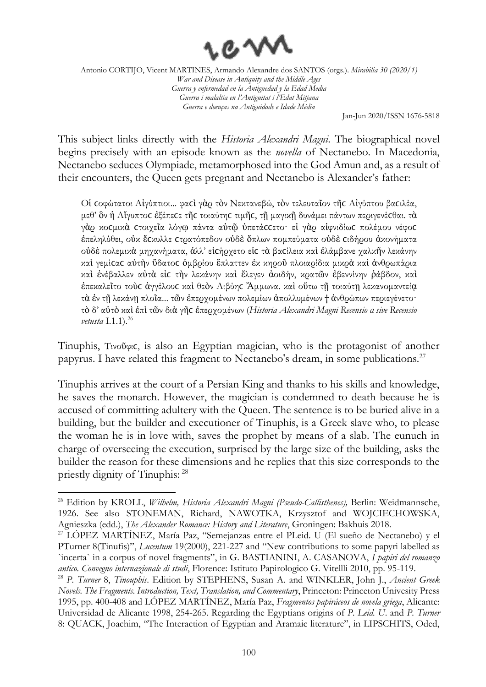

Jan-Jun 2020/ISSN 1676-5818

This subject links directly with the *Historia Alexandri Magni*. The biographical novel begins precisely with an episode known as the *novella* of Nectanebo. In Macedonia, Nectanebo seduces Olympiade, metamorphosed into the God Amun and, as a result of their encounters, the Queen gets pregnant and Nectanebo is Alexander's father:

Οἱ ϲοφώτατοι Αἰγύπτιοι... φαϲὶ γὰρ τὸν Νεκτανεβώ, τὸν τελευταῖον τῆϲ Αἰγύπτου βαϲιλέα, μεθ' ὃν ἡ Αἴγυπτοϲ ἐξέπεϲε τῆϲ τοιαύτηϲ τιμῆϲ, τῇ μαγικῇ δυνάμει πάντων περιγενέϲθαι. τὰ γάρ κο μικά στοιχεΐα λόγω πάντα αύτῶ ύπετά σετο· εί γάρ αίφνιδίως πολέμου νέφος ἐπεληλύθει, οὐκ ἔϲκυλλε ϲτρατόπεδον οὐδὲ ὅπλων πομπεύματα οὐδὲ ϲιδήρου ἀκονήματα οὐδὲ πολεμικὰ μηχανήματα, ἀλλ' εἰϲήρχετο εἰϲ τὰ βαϲίλεια καὶ ἐλάμβανε χαλκῆν λεκάνην καὶ γεμίϲαϲ αὐτὴν ὕδατοϲ ὀμβρίου ἔπλαττεν ἐκ κηροῦ πλοιαρίδια μικρὰ καὶ ἀνθρωπάρια καὶ ἐνέβαλλεν αὐτὰ εἰϲ τὴν λεκάνην καὶ ἔλεγεν ἀοιδήν, κρατῶν ἐβεννίνην ῥάβδον, καὶ ἐπεκαλεῖτο τοὺϲ ἀγγέλουϲ καὶ θεὸν Λιβύηϲ Ἄμμωνα. καὶ οὕτω τῇ τοιαύτῃ λεκανομαντείᾳ τὰ ἐν τῇ λεκάνῃ πλοῖα... τῶν ἐπερχομένων πολεμίων ἀπολλυμένων † ἀνθρώπων περιεγένετο· τὸ δ' αὐτὸ καὶ ἐπὶ τῶν διὰ γῆϲ ἐπερχομένων (*Historia Alexandri Magni Recensio α sive Recensio vetusta* I.1.1).<sup>26</sup>

Tinuphis, Τινοῦφιϲ, is also an Egyptian magician, who is the protagonist of another papyrus. I have related this fragment to Nectanebo's dream, in some publications.<sup>27</sup>

Tinuphis arrives at the court of a Persian King and thanks to his skills and knowledge, he saves the monarch. However, the magician is condemned to death because he is accused of committing adultery with the Queen. The sentence is to be buried alive in a building, but the builder and executioner of Tinuphis, is a Greek slave who, to please the woman he is in love with, saves the prophet by means of a slab. The eunuch in charge of overseeing the execution, surprised by the large size of the building, asks the builder the reason for these dimensions and he replies that this size corresponds to the priestly dignity of Tinuphis: 28

<sup>26</sup> Edition by KROLL, *Wilhelm, Historia Alexandri Magni (Pseudo-Callisthenes),* Berlin: Weidmannsche, 1926. See also STONEMAN, Richard, NAWOTKA, Krzysztof and WOJCIECHOWSKA, Agnieszka (edd.), *The Alexander Romance: History and Literature*, Groningen: Bakhuis 2018.

<sup>&</sup>lt;sup>27</sup> LÓPEZ MARTÍNEZ, María Paz, "Semejanzas entre el PLeid. U (El sueño de Nectanebo) y el PTurner 8(Tinufis)", *Lucentum* 19(2000), 221-227 and "New contributions to some papyri labelled as `incerta` in a corpus of novel fragments", in G. BASTIANINI, A. CASANOVA, *I papiri del romanzo antico. Convegno internazionale di studi*, Florence: Istituto Papirologico G. Vitellli 2010, pp. 95-119.

<sup>28</sup> *P. Turner* 8, *Tinouphis*. Edition by STEPHENS, Susan A. and WINKLER, John J., *Ancient Greek Novels. The Fragments. Introduction, Text, Translation, and Commentary*, Princeton: Princeton Univesity Press 1995, pp. 400-408 and LÓPEZ MARTÍNEZ, María Paz, *Fragmentos papiráceos de novela griega*, Alicante: Universidad de Alicante 1998, 254-265. Regarding the Egyptians origins of *P. Leid. U*. and *P. Turner* 8: QUACK, Joachim, "The Interaction of Egyptian and Aramaic literature", in LIPSCHITS, Oded,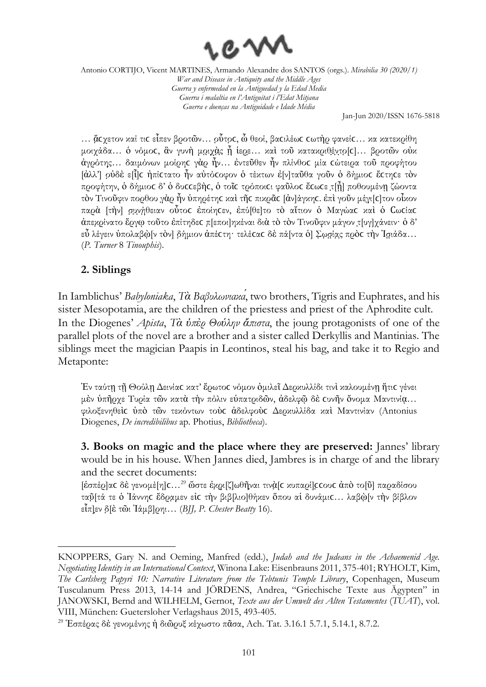

Jan-Jun 2020/ISSN 1676-5818

… ἄςγετον καί τις εἶπεν βροτῶν… οὗτος, ὦ θεοί, βαςιλέως ςωτὴρ φανείς... κα κατεκρίθη μοιχάδα... ὁ νόμος, ἂν γυνὴ μοιχὰς ἦ ἱερε... καὶ τοῦ κατακριθέντο[c]... βροτῶν οὐκ ἀγρότης̣… δαιμόνων μοίρηϲ γὰρ ἦν̣… ἐντεῦθεν ἦν πλίνθοϲ μία ϲώτειρα τοῦ προφήτου [ἀλλ'] ο̣ὐδὲ ε[ἷ]ϲ ἠπίϲτατο ἦν αὐτόϲοφον ὁ τέκτων ἐ[ν]ταῦθα γοῦν ὁ δήμιοϲ ἔϲτηϲε τὸν προφήτην, ὁ δήμιος δ' ὁ δυς εβής, ὁ τοῖς τρόποιςι φαῦλος ἔςωςε τιμη ποθουμένη ζώοντα τὸν Τινοῦφιν πορθου γ̣ὰρ ἦν ὑπηρέτηϲ καὶ τῆϲ πικρᾶϲ [ἀν]άγκηϲ. ἐπὶ γοῦν μέγ̣ι̣[ϲ]τον οἶκον παρὰ [τὴν] σ̣υ̣ν̣ή̣θειαν οὗτοϲ ἐποίηϲεν, ἐπύ[θε]το τὸ αἴτιον ὁ Μαγώαϲ καὶ ὁ Ϲωϲίαϲ ἀπεκ̣ρ̣ίνατο ἔργῳ τοῦτο ἐπίτηδεϲ π̣[εποι]ηκέναι διὰ τὸ τὸν Τινοῦφιν μάγον τ̣[υγ]χάνειν· ὁ δ' εὖ λέγειν ὑπολαβὼ[ν τὸν] δήμιον ἀπέστη· τελέσας δὲ πά[ντα ὁ] Σωσίας πρὸς τὴν Ἰσιάδα… (*P. Turner* 8 *Tinouphis*).

## **2. Siblings**

In Iamblichus' *Babyloniaka*, *Τὰ Βαβυλωνιακά*, two brothers, Tigris and Euphrates, and his sister Mesopotamia, are the children of the priestess and priest of the Aphrodite cult. In the Diogenes' *Apista*, *Τὰ ὑπὲρ Θούλην ἄπιστα*, the joung protagonists of one of the parallel plots of the novel are a brother and a sister called Derkyllis and Mantinias. The siblings meet the magician Paapis in Leontinos, steal his bag, and take it to Regio and Metaponte:

Ἐν ταύτῃ τῇ Θούλῃ Δεινίαϲ κατ' ἔρωτοϲ νόμον ὁμιλεῖ Δερκυλλίδι τινὶ καλουμένῃ ἥτιϲ γένει μὲν ὑπῆρχε Τυρία τῶν κατὰ τὴν πόλιν εὐπατριδῶν, ἀδελφῷ δὲ ϲυνῆν ὄνομα Μαντινίᾳ… φιλοξενηθεὶϲ ὑπὸ τῶν τεκόντων τοὺϲ ἀδελφοὺϲ Δερκυλλίδα καὶ Μαντινίαν (Antonius Diogenes, *De incredibilibus* ap. Photius, *Bibliotheca*).

**3. Books on magic and the place where they are preserved:** Jannes' library would be in his house. When Jannes died, Jambres is in charge of and the library and the secret documents:

[έσπέρ]ας δε γενομέ[η]ς...<sup>29</sup> ὥστε έμρι[ζ]ωθῆναι τινὰ[ς κυπαρί]ς εους ἀπὸ το[ῦ] παραδίσου ταῦ̣[τά τε ὁ Ἰάννηϲ ἔδρα̣μ̣εν εἰϲ τὴν βιβ̣[λιο]θήκεν ὅπου αἱ δυνάμιϲ… λαβὼ̣[ν τὴν βίβλον εἶπ]ε̣ν δ̣[ὲ τῶι Ἰάμβ]ρηι… (*BJJ, P. Chester Beatty* 16).

KNOPPERS, Gary N. and Oeming, Manfred (edd.), *Judah and the Judeans in the Achaemenid Age. Negotiating Identity in an International Context*, Winona Lake: Eisenbrauns 2011, 375-401; RYHOLT, Kim, *The Carlsberg Papyri 10: Narrative Literature from the Tebtunis Temple Library*, Copenhagen, Museum Tusculanum Press 2013, 14-14 and JÖRDENS, Andrea, "Griechische Texte aus Ägypten" in JANOWSKI, Bernd and WILHELM, Gernot, *Texte aus der Umwelt des Alten Testamentes* (*TUAT*), vol. VIII, München: Guetersloher Verlagshaus 2015, 493-405.

<sup>&</sup>lt;sup>29</sup> Έσπέρας δε γενομένης ή διῶρυξ κέχωστο πᾶσα, Ach. Tat. 3.16.1 5.7.1, 5.14.1, 8.7.2.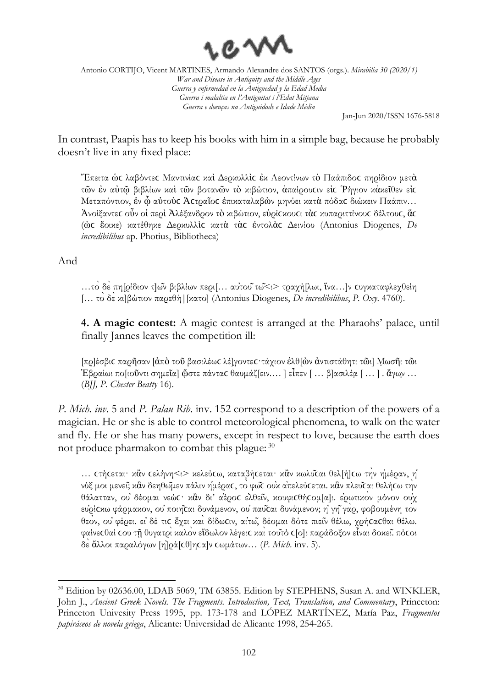

Jan-Jun 2020/ISSN 1676-5818

In contrast, Paapis has to keep his books with him in a simple bag, because he probably doesn't live in any fixed place:

Ἔπειτα ὡϲ λαβόντεϲ Μαντινίαϲ καὶ Δερκυλλὶϲ ἐκ Λεοντίνων τὸ Παάπιδοϲ πηρίδιον μετὰ τῶν ἐν αὐτῷ βιβλίων καὶ τῶν βοτανῶν τὸ κιβώτιον, ἀπαίρουϲιν εἰϲ Ῥήγιον κἀκεῖθεν εἰϲ Μεταπόντιον, ἐν ᾧ αὐτοὺϲ Ἀϲτραῖοϲ ἐπικαταλαβὼν μηνύει κατὰ πόδαϲ διώκειν Παάπιν… Ἀνοίξαντεϲ οὖν οἱ περὶ Ἀλέξανδρον τὸ κιβώτιον, εὑρίϲκουϲι τὰϲ κυπαριττίνουϲ δέλτουϲ, ἅϲ (ὡϲ ἔοικε) κατέθηκε Δερκυλλὶϲ κατὰ τὰϲ ἐντολὰϲ Δεινίου (Antonius Diogenes, *De incredibilibus* ap. Photius, Bibliotheca)

And

…τὸ δὲ πη[ρίδιον τ]ῶν βιβλίων περι[… αὐτοῦτῶ<ι> τραχή[λωι, ἵνα…]ν ϲυγκαταφλεχθείη [… τὸδὲκι]βώτιον παρεθή|[κατο] (Antonius Diogenes, *De incredibilibus*, *P. Oxy*. 4760).

**4. A magic contest:** A magic contest is arranged at the Pharaohs' palace, until finally Jannes leaves the competition ill:

[πρ]έσβιϲ παρῆσαν [ἀπὸ τοῦ βασιλέωϲ λέ]γ̣οντεϲ·τάχιον ἐλθ[ὼν ἀντιστάθητι τῶι] Μ̣ωσῆι τῶι Ἑβραίωι πο[ιοῦντι σημεῖα] ὥ̣στε πάνταϲ θαυμάζ[ειν.… ] εἶπεν [ … β]ασιλέα̣[ … ] . ἄγων̣… (*BJJ, P. Chester Beatty* 16).

*P. Mich. inv*. 5 and *P. Palau Rib*. inv. 152 correspond to a description of the powers of a magician. He or she is able to control meteorological phenomena, to walk on the water and fly. He or she has many powers, except in respect to love, because the earth does not produce pharmakon to combat this plague:  $^{30}$ 

... Cτή εται· κἂν Cελήνη<ι> κελεύ τω, καταβή τεται· κἂν κωλυνται θελ[ή] τω την ημέραν, η νύξ μοι μενεῖ; κἂν δεηθωμεν πάλιν ημέρας, το φωτ ουν α πελεύτεται. κἂν πλευται θελήτω την θάλατταν, οὐ δέομαι νεώϲ· κἂν δι' ἀέροϲ ἐλθεῖν, κουφιϲθήϲομ[α]ι. ἐρωτικὸν μόνον οὐχ ευοίς κω φάρμακον, ου ποιηται δυνάμενον, ου παυται δυνάμενον; η γη γαρ, φοβουμένη τον θεὸν, οὐ φέρει. εἰ δέ τιϲ ἔχει καὶ δίδωϲιν, αἰτῶ, δέομαι δότε πιεῖν θέλω, χρήϲαϲθαι θέλω. φαίνεϲθαί ϲου τῇ θυγατρὶκαλὸν εἴδωλον λέγειϲ καὶτοῦτό ϲ[ο]ι παράδοξον εἶναι δοκεῖ. πόϲοι δὲἄλλοι παραλόγων [ἠ]ρά[ϲθ]ηϲα]ν ϲωμάτων… (*P. Mich*. inv. 5).

<sup>&</sup>lt;sup>30</sup> Edition by 02636.00, LDAB 5069, TM 63855. Edition by STEPHENS, Susan A. and WINKLER, John J., *Ancient Greek Novels. The Fragments. Introduction, Text, Translation, and Commentary*, Princeton: Princeton Univesity Press 1995, pp. 173-178 and LÓPEZ MARTÍNEZ, María Paz, *Fragmentos papiráceos de novela griega*, Alicante: Universidad de Alicante 1998, 254-265.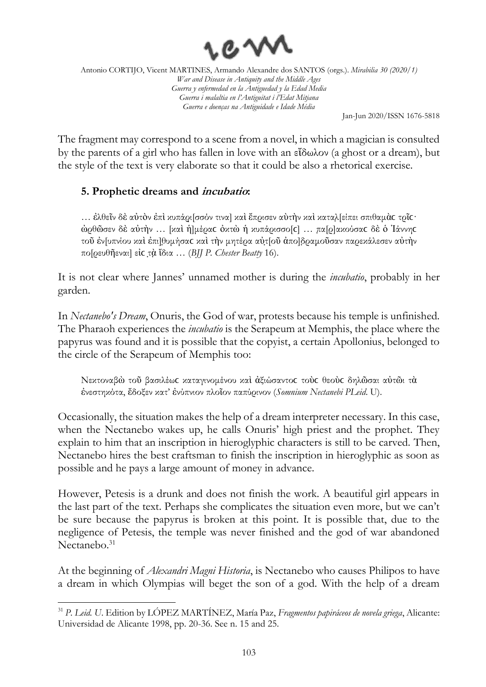

Jan-Jun 2020/ISSN 1676-5818

The fragment may correspond to a scene from a novel, in which a magician is consulted by the parents of a girl who has fallen in love with an εἴδωλον (a ghost or a dream), but the style of the text is very elaborate so that it could be also a rhetorical exercise.

## **5. Prophetic dreams and incubatio:**

… ἐλθεῖν δὲ αὐτὸν ἐπὶ κυπάρι̣[σσόν τινα] καὶ ἔπρισεν αὺτὴν καὶ καταλ̣[είπει σπιθαμὰϲ τρῖϲ· άρθῶσεν δὲ αὐτὴν ... [καὶ ἡ]μέρας ὀκτὼ ἡ κυπάρισσο[c] ... πα[ρ]ακούσας δὲ ὁ Ἰάννης τοῦ ἐν[υπνίου καὶ ἐπι]θ̣υμήσαϲ καὶ τὴν μητέρα αὐτ̣[οῦ ἀπο]δ̣ραμ̣οῦσαν παρεκάλεσεν αὐτὴν πο[ρευθῆεναι] εἰϲ τ̣ὰ̣ ἴδια … (*BJJ P. Chester Beatty* 16).

It is not clear where Jannes' unnamed mother is during the *incubatio*, probably in her garden.

In *Nectanebo's Dream*, Onuris, the God of war, protests because his temple is unfinished. The Pharaoh experiences the *incubatio* is the Serapeum at Memphis, the place where the papyrus was found and it is possible that the copyist, a certain Apollonius, belonged to the circle of the Serapeum of Memphis too:

Νεκτοναβὼ τοῦ βασιλέωϲ καταγινομένου καὶ ἀξιώσαντοϲ τοὺϲ θεοὺϲ δηλῶσαι αὐτῶι τὰ ἐνεστηκότα, ἔδοξεν κατ' ἐνύπνιον πλοῖον παπύρινον (*Somnium Nectanebi PLeid*. U).

Occasionally, the situation makes the help of a dream interpreter necessary. In this case, when the Nectanebo wakes up, he calls Onuris' high priest and the prophet. They explain to him that an inscription in hieroglyphic characters is still to be carved. Then, Nectanebo hires the best craftsman to finish the inscription in hieroglyphic as soon as possible and he pays a large amount of money in advance.

However, Petesis is a drunk and does not finish the work. A beautiful girl appears in the last part of the text. Perhaps she complicates the situation even more, but we can't be sure because the papyrus is broken at this point. It is possible that, due to the negligence of Petesis, the temple was never finished and the god of war abandoned Nectanebo.<sup>31</sup>

At the beginning of *Alexandri Magni Historia*, is Nectanebo who causes Philipos to have a dream in which Olympias will beget the son of a god. With the help of a dream

<sup>31</sup> *P. Leid. U*. Edition by LÓPEZ MARTÍNEZ, María Paz, *Fragmentos papiráceos de novela griega*, Alicante: Universidad de Alicante 1998, pp. 20-36. See n. 15 and 25.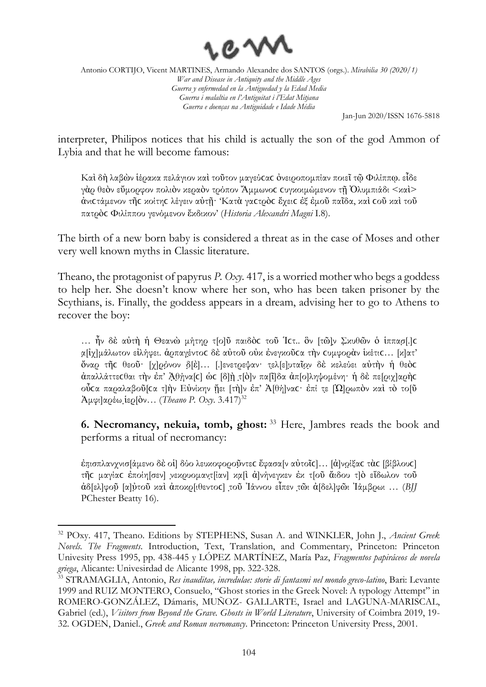

Jan-Jun 2020/ISSN 1676-5818

interpreter, Philipos notices that his child is actually the son of the god Ammon of Lybia and that he will become famous:

Καὶ δὴ λαβὼν ἱέρακα πελάγιον καὶ τοῦτον μαγεύϲαϲ ὀνειροπομπίαν ποιεῖ τῷ Φιλίππῳ. εἶδε γὰρ θεὸν εὔμορφον πολιὸν κεραὸν τρόπον Ἄμμωνοϲ ϲυγκοιμώμενον τῇ Ὀλυμπιάδι <καὶ> ἀνιϲτάμενον τῆϲ κοίτηϲ λέγειν αὐτῇ· 'Κατὰ γαϲτρὸϲ ἔχειϲ ἐξ ἐμοῦ παῖδα, καὶ ϲοῦ καὶ τοῦ πατρὸϲ Φιλίππου γενόμενον ἔκδικον' (*Historia Alexandri Magni* I.8).

The birth of a new born baby is considered a threat as in the case of Moses and other very well known myths in Classic literature.

Theano, the protagonist of papyrus *P. Oxy*. 417, is a worried mother who begs a goddess to help her. She doesn't know where her son, who has been taken prisoner by the Scythians, is. Finally, the goddess appears in a dream, advising her to go to Athens to recover the boy:

... ἦν δὲ αὐτὴ ἡ Θεανὼ μήτηρ τ[ο]ῦ παιδὸς τοῦ Ἰςτ.. ὃν [τῶ]ν Σκυθῶν ὁ ἱππασ[.]ς α̣[ἰχ]μάλωτον εἰλήφει. ἁρπαγέ̣ντοϲ δὲ αὐτοῦ οὐκ ἐνεγκοῦϲα τὴν ϲυμφορὰν ἱκέτιϲ… [κ]ατ' όναρ τῆς θεοῦ· [χ]ρόνον δ[ὲ]... [.]ενετρεψαν· τελ[ε]υταῖον δὲ κελεύει αὐτὴν ἡ θεὸς άπαλλάττεςθαι τὴν ἐπ' Ἀθήνα[c] ώς [δ]ὴ τ[ὸ]ν πα[ῖ]δα ἀπ[ο]ληψομένη· ἡ δὲ πε[ριχ]αρὴς οὖτα παραλαβοῦ[τα τ]ὴν Εὐνίκην ἤει [τὴ]ν ἐπ' Ἀ[θή]να · ἐπί τε [Ω]ρωπὸν καὶ τὸ το[ῦ  $A\mu\varphi$ ι $\alpha$ ρέω ἱερ $\beta$ ον... (*Theano P. Oxy.* 3.417)<sup>32</sup>

**6. Necromancy, nekuia, tomb, ghost:** <sup>33</sup> Here, Jambres reads the book and performs a ritual of necromancy:

επισπλανχνισ[άμενο δε οί] δύο λευκοφοροῦντες ἔφασα[ν αὐτοῖς]... [ἀ]νοιξας τὰς [βίβλους] τῆϲ μαγίαϲ ἐποίη[σεν] ν̣εκρυομαντ̣[ίαν] κα̣[ὶ ἀ]νήνεγκεν ἐκ τ[οῦ ἄιδου τ]ὸ εἴδωλον τοῦ αδ[ελ]φοῦ [α]ὐτοῦ καὶ ἀποκρ[ιθεντος] τοῦ Ἰάννου εἶπεν τῶι ἀ[δελ]φῶι Ἰάμβρωι ... (BJJ PChester Beatty 16).

<sup>32</sup> POxy. 417, Theano. Editions by STEPHENS, Susan A. and WINKLER, John J., *Ancient Greek Novels. The Fragments*. Introduction, Text, Translation, and Commentary, Princeton: Princeton Univesity Press 1995, pp. 438-445 y LÓPEZ MARTÍNEZ, María Paz, *Fragmentos papiráceos de novela griega*, Alicante: Univesirdad de Alicante 1998, pp. 322-328.

<sup>33</sup> STRAMAGLIA, Antonio, *Res inauditae, incredulae: storie di fantasmi nel mondo greco-latino*, Bari: Levante 1999 and RUIZ MONTERO, Consuelo, "Ghost stories in the Greek Novel: A typology Attempt" in ROMERO-GONZÁLEZ, Dámaris, MUÑOZ- GALLARTE, Israel and LAGUNA-MARISCAL, Gabriel (ed.), *Visitors from Beyond the Grave. Ghosts in World Literature*, University of Coimbra 2019, 19- 32. OGDEN, Daniel., *Greek and Roman necromancy*. Princeton: Princeton University Press, 2001.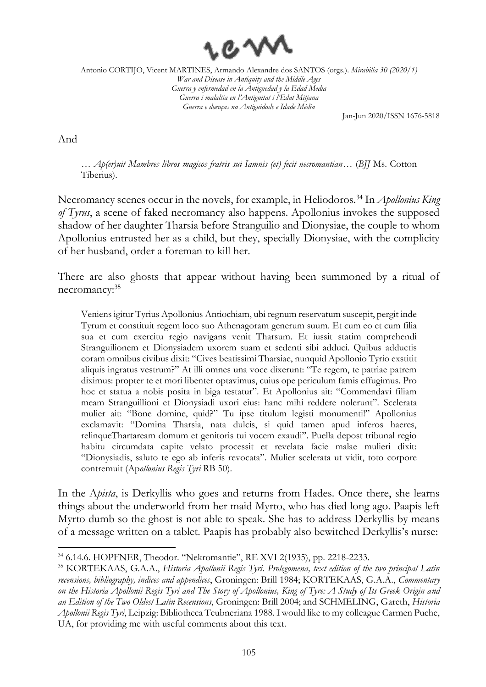

Jan-Jun 2020/ISSN 1676-5818

And

… *Ap(er)uit Mambres libros magicos fratris sui Iamnis (et) fecit necromantian*… (*BJJ* Ms. Cotton Tiberius).

Necromancy scenes occur in the novels, for example, in Heliodoros.<sup>34</sup> In *Apollonius King of Tyrus*, a scene of faked necromancy also happens. Apollonius invokes the supposed shadow of her daughter Tharsia before Stranguilio and Dionysiae, the couple to whom Apollonius entrusted her as a child, but they, specially Dionysiae, with the complicity of her husband, order a foreman to kill her.

There are also ghosts that appear without having been summoned by a ritual of necromancy: 35

Veniens igitur Tyrius Apollonius Antiochiam, ubi regnum reservatum suscepit, pergit inde Tyrum et constituit regem loco suo Athenagoram generum suum. Et cum eo et cum filia sua et cum exercitu regio navigans venit Tharsum. Et iussit statim comprehendi Stranguilionem et Dionysiadem uxorem suam et sedenti sibi adduci. Quibus adductis coram omnibus civibus dixit: "Cives beatissimi Tharsiae, nunquid Apollonio Tyrio exstitit aliquis ingratus vestrum?" At illi omnes una voce dixerunt: "Te regem, te patriae patrem diximus: propter te et mori libenter optavimus, cuius ope periculum famis effugimus. Pro hoc et statua a nobis posita in biga testatur". Et Apollonius ait: "Commendavi filiam meam Stranguillioni et Dionysiadi uxori eius: hanc mihi reddere nolerunt". Scelerata mulier ait: "Bone domine, quid?" Tu ipse titulum legisti monumenti!" Apollonius exclamavit: "Domina Tharsia, nata dulcis, si quid tamen apud inferos haeres, relinqueThartaream domum et genitoris tui vocem exaudi". Puella depost tribunal regio habitu circumdata capite velato processit et revelata facie malae mulieri dixit: "Dionysiadis, saluto te ego ab inferis revocata". Mulier scelerata ut vidit, toto corpore contremuit (Ap*ollonius Regis Tyri* RB 50).

In the A*pista*, is Derkyllis who goes and returns from Hades. Once there, she learns things about the underworld from her maid Myrto, who has died long ago. Paapis left Myrto dumb so the ghost is not able to speak. She has to address Derkyllis by means of a message written on a tablet. Paapis has probably also bewitched Derkyllis's nurse:

<sup>34</sup> 6.14.6. HOPFNER, Theodor. "Nekromantie", RE XVI 2(1935), pp. 2218-2233.

<sup>35</sup> KORTEKAAS, G.A.A., *Historia Apollonii Regis Tyri. Prolegomena, text edition of the two principal Latin recensions, bibliography, indices and appendices*, Groningen: Brill 1984; KORTEKAAS, G.A.A., *Commentary on the Historia Apollonii Regis Tyri and The Story of Apollonius, King of Tyre: A Study of Its Greek Origin and an Edition of the Two Oldest Latin Recensions*, Groningen: Brill 2004; and SCHMELING, Gareth, *Historia Apollonii Regis Tyri*, Leipzig: Bibliotheca Teubneriana 1988. I would like to my colleague Carmen Puche, UA, for providing me with useful comments about this text.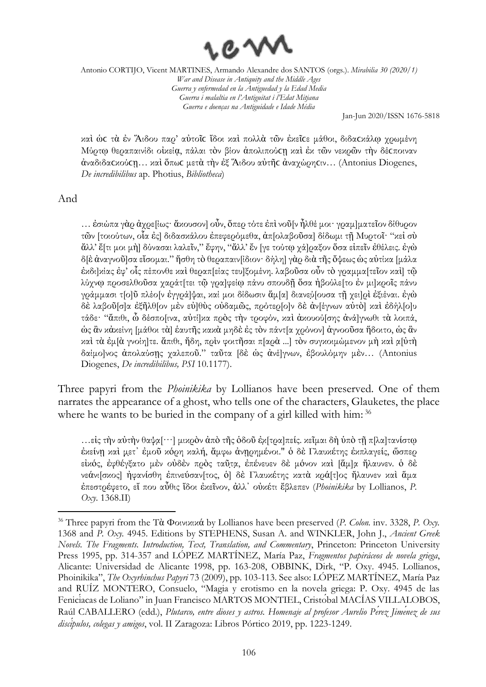

Jan-Jun 2020/ISSN 1676-5818

καὶ ὡϲ τὰ ἐν Ἅιδου παρ' αὐτοῖϲ ἴδοι καὶ πολλὰ τῶν ἐκεῖϲε μάθοι, διδαϲκάλῳ χρωμένη Μύρτῳ θεραπαινίδι οἰκείᾳ, πάλαι τὸν βίον ἀπολιπούϲῃ καὶ ἐκ τῶν νεκρῶν τὴν δέϲποιναν ἀναδιδαϲκούϲῃ… καὶ ὅπωϲ μετὰ τὴν ἐξ Ἅιδου αὐτῆϲ ἀναχώρηϲιν… (Antonius Diogenes, *De incredibilibus* ap. Photius, *Bibliotheca*)

#### And

… ἐσιώπα γὰρ ἀχρε[ίως· ἄκουσον] οὖν, ὅπερ τότε ἐπὶνοῦ[ν ἦλθέ μοι· γραμ]ματεῖον δίθυρον τῶν [τοιούτων, οἷα ἐς] διδασκάλου ἐπεφερόμεθα, ἀπ[ολαβοῦσα] δίδωμι τῇ Μυρτοῖ· "κεἰ σὺ ἄλλ' ἔ[τι μοι μὴ] δύνασαι λαλεῖν," ἔφην, "ἄλλ' ἔν [γε τούτῳ χά]ραξον ὅσα εἰπεῖν ἐθέλεις. ἐγὼ δ[ὲ ἀναγνοῦ]σα εἴσομαι." ἥσθη τὸ θεραπαιν[ίδιον· δήλη] γὰρ διὰ τῆς ὄψεως ὡς αὐτίκα [μάλα ἐκδι]κίας ἐφ' οἷς πέπονθε καὶ θεραπ[είας τευ]ξομένη. λαβοῦσα οὖν τὸ γραμμα[τεῖον καὶ] τῷ λύχνῳ προσελθοῦσα χαράτ[τει τῷ γρα]φείῳ πάνυ σπουδῇ ὅσα ἠβούλε[το ἐν μι]κροῖς πάνυ γράμμασι τ[ο]ῦ πλέο[ν ἐγγρά]ψαι, καί μοι δίδωσιν ἅμ[α] διανεύ̣[ουσα τῇ χει]ρὶ ἐξιέναι. ἐγὼ δὲ λαβοῦ[σ]α ἐξῆλθ[ον μὲν εὐ]θὺς οὐδαμῶς, πρότερ[ο]ν δὲ ἀν[έγνων αὐτὸ] καὶ ἐδήλ[ο]υ τάδε· "ἄπιθι, ὦ δέσπο[ινα, αὐτί]κα πρὸς τὴν τροφόν, καὶ ἀκουού[σης ἀνά]γνωθι τὰ λοιπά, ὡς ἂν κἀκείνη [μάθοι τὰ] ἑαυτῆς κακὰ μηδὲ ἐς τὸν πάντ[α χρόνον] ἀγνοοῦσα ἥδοιτο, ὡς ἂν καὶ τὰ ἐμ[ὰ γνοίη]τε. ἄπιθι, ἤδη, πρὶν φοιτῆσαι π[αρὰ ...] τὸν συγκοιμώμενον μὴ καὶ α̣[ὐτὴ δαίμο]νος ἀπολαύσῃς χαλεποῦ." ταῦτα [δὲ ὡς ἀνέ]γνων, ἐβουλόμην μὲν… (Antonius Diogenes, *De incredibilibus, PSI* 10.1177).

Three papyri from the *Phoinikika* by Lollianos have been preserved. One of them narrates the appearance of a ghost, who tells one of the characters, Glauketes, the place where he wants to be buried in the company of a girl killed with him:<sup>36</sup>

…εἰς τὴν αὐτὴν θαψα̣[···] μικρὸν ἀπὸ τῆς ὁδοῦ ἐκ̣[τρα]πείς. κεῖμαι δὴ ὑπὸ τῇ π[λα]τανίστῳ ἐκείνῃ καὶ μ̣ε̣τ᾽ ἐμοῦ κόρη καλή, ἄμφω ἀνῃρημένοι." ὁ δὲ Γλαυκέτης ἐκπλαγείς, ὥσπερ είκός, έφθέγξατο μὲν ούδὲν πρὸς ταῦτα, ἐπένευεν δὲ μόνον καὶ [ἄμ]α ήλαυνεν. ὁ δὲ νεάνι[σκος] ἠφανίσθη ἐπινεύσαν[τος, ὁ] δὲ Γλαυκέτης κατὰ κρά[τ]ος ἤλαυνεν καὶ ἅμα ἐπεστρέφετο, εἴ που αὖθις ἴδοι ἐκεῖνον, ἀλλ᾽ οὐκέτι ἔβλεπεν (*Phoinikika* by Lollianos, *P. Oxy*. 1368.II)

<sup>36</sup> Three papyri from the Τὰ Φοινικικά by Lollianos have been preserved (*P. Colon.* inv. 3328, *P. Oxy.*  1368 and *P. Oxy.* 4945. Editions by STEPHENS, Susan A. and WINKLER, John J., *Ancient Greek Novels. The Fragments. Introduction, Text, Translation, and Commentary*, Princeton: Princeton University Press 1995, pp. 314-357 and LÓPEZ MARTÍNEZ, María Paz, *Fragmentos papiráceos de novela griega*, Alicante: Universidad de Alicante 1998, pp. 163-208, OBBINK, Dirk, "P. Oxy. 4945. Lollianos, Phoinikika", *The Oxyrhinchus Papyri* 73 (2009), pp. 103-113. See also: LÓPEZ MARTÍNEZ, María Paz and RUÍZ MONTERO, Consuelo, "Magia y erotismo en la novela griega: P. Oxy. 4945 de las Fenicíacas de Loliano" in Juan Francisco MARTOS MONTIEL, Cristóbal MACÍAS VILLALOBOS, Raúl CABALLERO (edd.), *Plutarco, entre dioses y astros. Homenaje al profesor Aurelio Pérez Jiménez de sus discípulos, colegas y amigos*, vol. II Zaragoza: Libros Pórtico 2019, pp. 1223-1249.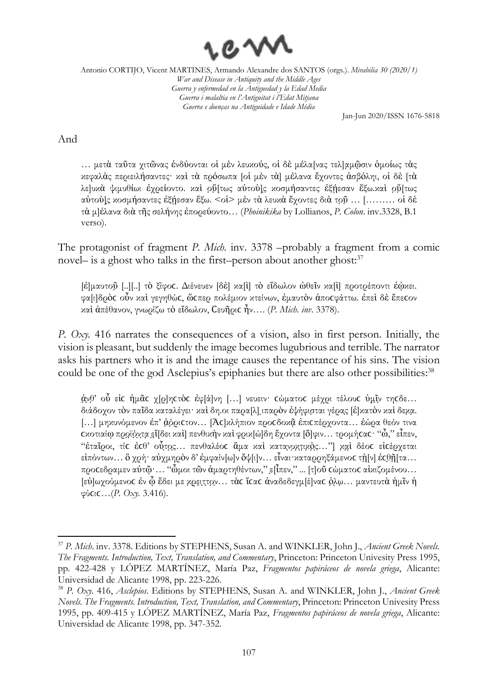

Jan-Jun 2020/ISSN 1676-5818

### And

… μετὰ ταῦτα χιτῶνας ἐνδύονται οἱ μὲν λευκούς, οἱ δὲ μέλα[νας τελ]α̣μῶ̣σιν ὁμοίως τὰς κεφαλὰς περιειλήσαντες· καὶ τὰ πρόσωπα [οἱ μὲν τὰ] μέλανα ἔχοντες ἀσβόληι, οἱ δὲ [τὰ λε]υκὰ ψιμυθίωι ἐχρείοντο. καὶ οὔ[τως αὑτοὺ]ς κοσμήσαντες ἐξήεσαν ἔξω.καὶ οὕ[τως αύτού]ς κοσμήσαντες ἐξήεσαν ἔξω. <οί> μὲν τὰ λευκὰ ἔχοντες διὰ τοῦ ... [……… οἱ δὲ τὰ μ]έλανα διὰ τῆς σελήνης ἐπορεύοντο… (*Phoinikika* by Lollianos, *P. Colon*. inv.3328, B.1 verso).

The protagonist of fragment *P. Mich.* inv. 3378 –probably a fragment from a comic novel– is a ghost who talks in the first–person about another ghost: 37

[ἐ]μαυτοῦ̣ [..][..] τὸ ξίφοϲ. Διένευεν [δὲ] κα[ὶ] τὸ εἴδωλον ὠθεῖν κα[ὶ] προτρέποντι ἐῴκει. φα[ι]δρὸϲ οὖν καὶ γεγηθώϲ, ὥϲπερ πολέμιον κτείνων, ἐμαυτὸν ἀποϲφάττω. ἐπεὶ δὲ ἔπεϲον καὶ ἀπέθανον, γνωρίζω τὸ εἴδωλον, Ϲευῆριϲ ἦν…. (*P. Mich. inv*. 3378).

*P. Oxy.* 416 narrates the consequences of a vision, also in first person. Initially, the vision is pleasant, but suddenly the image becomes lugubrious and terrible. The narrator asks his partners who it is and the image causes the repentance of his sins. The vision could be one of the god Asclepius's epiphanies but there are also other possibilities:<sup>38</sup>

ἀ̣ν̣θ̣' οὗ εἰϲ ἡμᾶϲ χ[ρ]ηϲτὸϲ ἐφ[ά]νη […] νευειν· ϲώματοϲ μέχρι τέλουϲ ὑμ̣ῖ̣ν̣ τηϲδε… διάδοχον τὸν παῖδα καταλέγει· καὶ δη.οι παρα[λ] ιπαρὸν ἐψήφισται γέρας [έ]κατὸν καὶ δεκα. [...] μηκυνόμενον έπ' ἀφριστον... [Ἀς]κλήπιον προσδοκα επισπέρχοντα... εώρα θεόν τινα ϲκοτιαίῳ προ̣ϊ̣ό̣ν̣τ̣α̣ε̣ἴ̣[δει καὶ] πενθικὴν καὶ φρικ[ώ]δη ἔχοντα [ὄ]φιν… τρομήϲαϲ· "ὦ," εἶπεν, "έταῖροι, τίς έςθ' οὗτος... πενθαλέος άμα και κατανυχτικός..."] και δέος ειςέρχεται εἰπόντων… ὃ χρή· αὐχμηρὸν δ' ἐμφαίν[ω]ν ὄψ[ι]ν… εἶναι·καταρρηξάμενος τὴ[ν] ἐςθῆ[τα… προϲεδραμεν αὐτῷ·… "ὦμοι τῶν ἁμαρτηθέντων," ε̣[ἶπεν," ... [τ]οῦ ϲώματοϲ αἰκιζομένου… [εὐ]ωχούμενοϲ ἐν ᾧ ἔδει με κ̣ρ̣ει̣τ̣τ̣ο̣ν̣… τὰϲ ἴϲαϲ ἀναδεδεγμ[έ]ναϲ ὁ̣λ̣ω̣… μαντευτὰ ἡμῖν ἡ φύϲιϲ…(*P. Oxy.* 3.416).

<sup>37</sup> *P. Mich*. inv. 3378. Editions by STEPHENS, Susan A. and WINKLER, John J., *Ancient Greek Novels. The Fragments. Introduction, Text, Translation, and Commentary*, Princeton: Princeton Univesity Press 1995, pp. 422-428 y LÓPEZ MARTÍNEZ, María Paz, *Fragmentos papiráceos de novela griega*, Alicante: Universidad de Alicante 1998, pp. 223-226.

<sup>38</sup> *P. Oxy*. 416, *Asclepios*. Editions by STEPHENS, Susan A. and WINKLER, John J., *Ancient Greek Novels. The Fragments. Introduction, Text, Translation, and Commentary*, Princeton: Princeton Univesity Press 1995, pp. 409-415 y LÓPEZ MARTÍNEZ, María Paz, *Fragmentos papiráceos de novela griega*, Alicante: Universidad de Alicante 1998, pp. 347-352.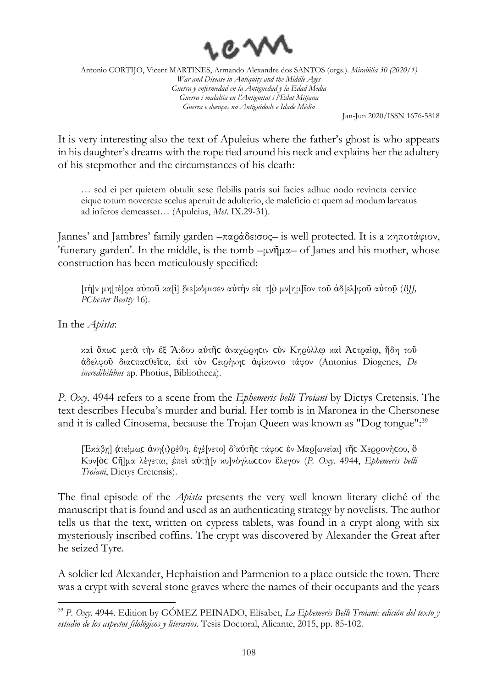

Jan-Jun 2020/ISSN 1676-5818

It is very interesting also the text of Apuleius where the father's ghost is who appears in his daughter's dreams with the rope tied around his neck and explains her the adultery of his stepmother and the circumstances of his death:

… sed ei per quietem obtulit sese flebilis patris sui facies adhuc nodo revincta cervice eique totum novercae scelus aperuit de adulterio, de maleficio et quem ad modum larvatus ad inferos demeasset… (Apuleius, *Met*. IX.29-31).

Jannes' and Jambres' family garden –παράδεισος– is well protected. It is a κηποτάφιον, 'funerary garden'. In the middle, is the tomb –μνῆμα– of Janes and his mother, whose construction has been meticulously specified:

[τὴ]ν μη[τέ]ρα αὐτοῦ κα[ὶ] δ̣ιε[κόμισεν αὐτὴν εἰϲ τ]ὸ̣ μν[ημ]ῖον τοῦ ἀδ[ελ]φοῦ αὐτοῦ̣ (*BJJ, PChester Beatty* 16).

In the *Apista*:

καὶ ὅπωϲ μετὰ τὴν ἐξ Ἅιδου αὐτῆϲ ἀναχώρηϲιν ϲὺν Κηρύλλῳ καὶ Ἀϲτραίῳ, ἤδη τοῦ ἀδελφοῦ διαϲπαϲθεῖϲα, ἐπὶ τὸν Ϲειρήνηϲ ἀφίκοντο τάφον (Antonius Diogenes, *De incredibilibus* ap. Photius, Bibliotheca).

*P. Oxy*. 4944 refers to a scene from the *Ephemeris belli Troiani* by Dictys Cretensis. The text describes Hecuba's murder and burial. Her tomb is in Maronea in the Chersonese and it is called Cinosema, because the Trojan Queen was known as "Dog tongue": 39

[Έκάβη] ἀτείμως ἀνη⟨ι⟩ρέθη. έγεξνετο] δ'αύτῆς τάφος έν Μαρ[ωνείαι] τῆς Χερρονήςου, ὃ Κυν[ὸϲ Ϲῆ]μα λέγεται, ἐ̣πεὶ αὐτὴ̣[ν κυ]νόγλωϲϲον ἔλεγον (*P. Oxy*. 4944, *Ephemeris belli Troiani*, Dictys Cretensis).

The final episode of the *Apista* presents the very well known literary cliché of the manuscript that is found and used as an authenticating strategy by novelists. The author tells us that the text, written on cypress tablets, was found in a crypt along with six mysteriously inscribed coffins. The crypt was discovered by Alexander the Great after he seized Tyre.

A soldier led Alexander, Hephaistion and Parmenion to a place outside the town. There was a crypt with several stone graves where the names of their occupants and the years

<sup>39</sup> *P. Oxy*. 4944. Edition by GÓMEZ PEINADO, Elísabet, *La Ephemeris Belli Troiani: edición del texto y estudio de los aspectos filológicos y literarios*. Tesis Doctoral, Alicante, 2015, pp. 85-102.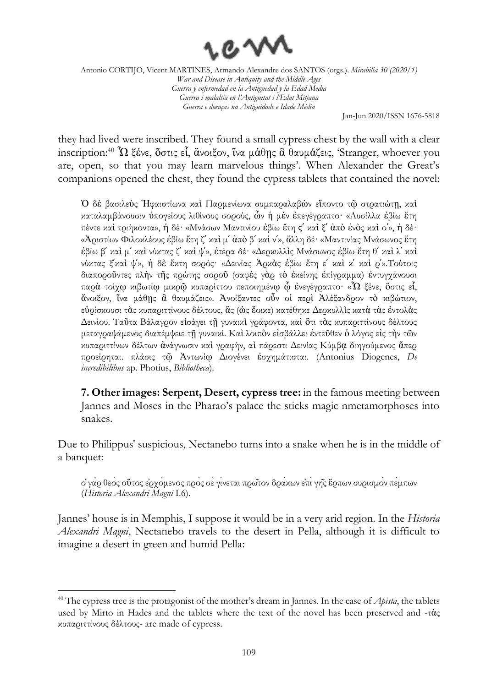

Jan-Jun 2020/ISSN 1676-5818

they had lived were inscribed. They found a small cypress chest by the wall with a clear inscription:<sup>40</sup>  $\Omega$  ξένε, ὅστις εἶ, ἄνοιξον, ἵνα μάθης ἃ θαυμάζεις, 'Stranger, whoever you are, open, so that you may learn marvelous things'. When Alexander the Great's companions opened the chest, they found the cypress tablets that contained the novel:

Ὁ δὲ βασιλεὺς Ἡφαιστίωνα καὶ Παρμενίωνα συμπαραλαβὼν εἵποντο τῷ στρατιώτῃ, καὶ καταλαμβάνουσιν ὑπογείους λιθίνους σορούς, ὧν ἡ μὲν ἐπεγέγραπτο· «Λυσίλλα ἐβίω ἔτη πέντε καὶ τριήκοντα», ἡ δέ· «Μνάσων Μαντινίου ἐβίω ἔτη ϛʹ καὶ ξʹ ἀπὸ ἑνὸς καὶ οʹ», ἡ δέ· «Ἀριστίων Φιλοκλέους ἐβίω ἔτη ζʹ καὶ μʹ ἀπὸ βʹ καὶ νʹ», ἄλλη δέ· «Μαντινίας Μνάσωνος ἔτη ἐβίω βʹ καὶ μʹ καὶ νύκτας ζʹ καὶ ψʹ», ἑτέρα δέ· «Δερκυλλὶς Μνάσωνος ἐβίω ἔτη θʹ καὶ λʹ καὶ νύκτας ξʹκαὶ ψʹ», ἡ δὲ ἕκτη σορός· «Δεινίας Ἀρκὰς ἐβίω ἔτη εʹ καὶ κʹ καὶ ρʹ».Τούτοις διαποροῦντες πλὴν τῆς πρώτης σοροῦ (σαφὲς γὰρ τὸ ἐκείνης ἐπίγραμμα) ἐντυγχάνουσι παρὰ τοίχῳ κιβωτίῳ μικρῷ κυπαρίττου πεποιημένῳ ᾧ ἐνεγέγραπτο· «Ὦ ξένε, ὅστις εἶ, ἄνοιξον, ἵνα μάθῃς ἃ θαυμάζεις». Ἀνοίξαντες οὖν οἱ περὶ Ἀλέξανδρον τὸ κιβώτιον, εὑρίσκουσι τὰς κυπαριττίνους δέλτους, ἅς (ὡς ἔοικε) κατέθηκε Δερκυλλὶς κατὰ τὰς ἐντολὰς Δεινίου. Ταῦτα Βάλαγρον εἰσάγει τῇ γυναικὶ γράφοντα, καὶ ὅτι τὰς κυπαριττίνους δέλτους μεταγραψάμενος διαπέμψειε τῇ γυναικί. Καὶ λοιπὸν εἰσβάλλει ἐντεῦθεν ὁ λόγος εἰς τὴν τῶν κυπαριττίνων δέλτων ἀνάγνωσιν καὶ γραφήν, αὶ πάρεστι Δεινίας Κύμβᾳ διηγούμενος ἅπερ προείρηται. πλάσις τῷ Ἀντωνίῳ Διογένει ἐσχημάτισται. (Antonius Diogenes, *De incredibilibus* ap. Photius, *Bibliotheca*).

**7. Other images: Serpent, Desert, cypress tree:** in the famous meeting between Jannes and Moses in the Pharao's palace the sticks magic nmetamorphoses into snakes.

Due to Philippus' suspicious, Nectanebo turns into a snake when he is in the middle of a banquet:

ὁγὰρ θεὸς οὕτος ἐρχόμενος πρὸς σὲγίνεται πρῶτον δράκων ἐπὶγῆς ἕρπων συρισμὸν πέμπων (*Historia Alexandri Magni* I.6).

Jannes' house is in Memphis, I suppose it would be in a very arid region. In the *Historia Alexandri Magni*, Nectanebo travels to the desert in Pella, although it is difficult to imagine a desert in green and humid Pella:

<sup>&</sup>lt;sup>40</sup> The cypress tree is the protagonist of the mother's dream in Jannes. In the case of *Apista*, the tablets used by Mirto in Hades and the tablets where the text of the novel has been preserved and -τὰς κυπαριττίνους δέλτους- are made of cypress.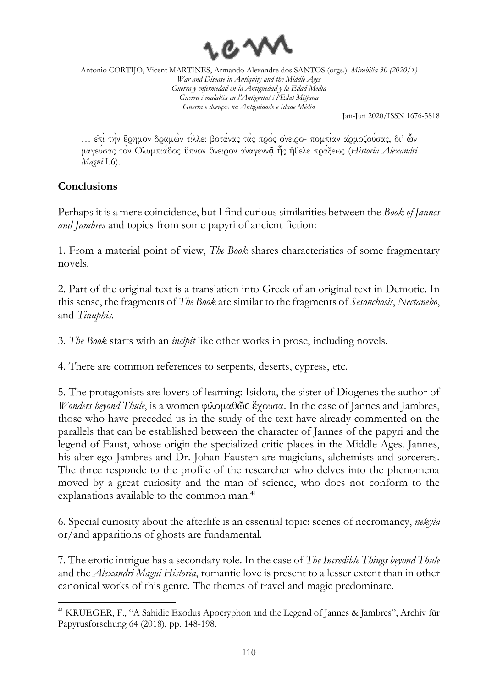

Jan-Jun 2020/ISSN 1676-5818

… ἐπὶτὴν ἔρημον δραμὼν τίλλει βοτάνας τὰς πρὸς ὀνειρο- πομπίαν ἁρμοζούσας, δι' ὧν μαγεύσας τὸν Ὀλυμπιάδος ὕπνον ὄνειρον ἀναγεννᾷ ἧς ἤθελε πράξεως (*Historia Alexandri Magni* I.6).

## **Conclusions**

Perhaps it is a mere coincidence, but I find curious similarities between the *Book of Jannes and Jambres* and topics from some papyri of ancient fiction:

1. From a material point of view, *The Book* shares characteristics of some fragmentary novels.

2. Part of the original text is a translation into Greek of an original text in Demotic. In this sense, the fragments of *The Book* are similar to the fragments of *Sesonchosis*, *Nectanebo*, and *Tinuphis*.

3. *The Book* starts with an *incipit* like other works in prose, including novels.

4. There are common references to serpents, deserts, cypress, etc.

5. The protagonists are lovers of learning: Isidora, the sister of Diogenes the author of *Wonders beyond Thule*, is a women φιλομαθῶ**c** ἔχουσα. In the case of Jannes and Jambres, those who have preceded us in the study of the text have already commented on the parallels that can be established between the character of Jannes of the papyri and the legend of Faust, whose origin the specialized critic places in the Middle Ages. Jannes, his alter-ego Jambres and Dr. Johan Fausten are magicians, alchemists and sorcerers. The three responde to the profile of the researcher who delves into the phenomena moved by a great curiosity and the man of science, who does not conform to the explanations available to the common man.<sup>41</sup>

6. Special curiosity about the afterlife is an essential topic: scenes of necromancy, *nekyia* or/and apparitions of ghosts are fundamental.

7. The erotic intrigue has a secondary role. In the case of *The Incredible Things beyond Thule* and the *Alexandri Magni Historia*, romantic love is present to a lesser extent than in other canonical works of this genre. The themes of travel and magic predominate.

<sup>&</sup>lt;sup>41</sup> KRUEGER, F., "A Sahidic Exodus Apocryphon and the Legend of Jannes & Jambres", Archiv für Papyrusforschung 64 (2018), pp. 148-198.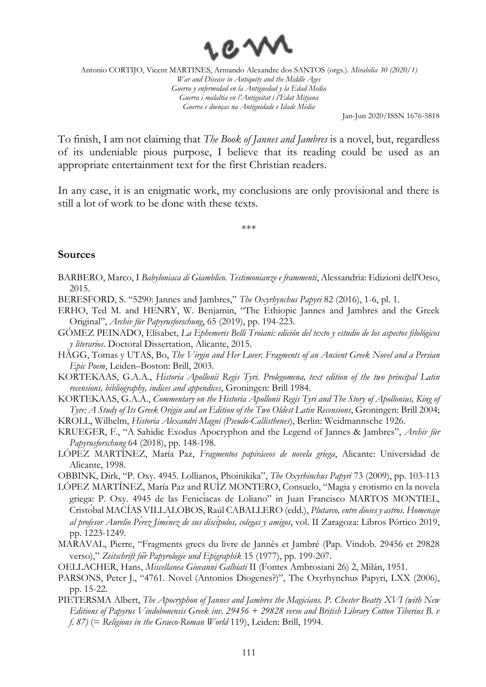

Jan-Jun 2020/ISSN 1676-5818

To finish, I am not claiming that *The Book of Jannes and Jambres* is a novel, but, regardless of its undeniable pious purpose, I believe that its reading could be used as an appropriate entertainment text for the first Christian readers.

In any case, it is an enigmatic work, my conclusions are only provisional and there is still a lot of work to be done with these texts.

\*\*\*

#### **Sources**

- BARBERO, Marco, I *Babyloniaca di Giamblico. Testimonianze e frammenti*, Alessandria: Edizioni dell'Orso, 2015.
- BERESFORD, S. "5290: Jannes and Jambres," *The Oxyrhynchus Papyri* 82 (2016), 1-6, pl. 1.
- ERHO, Ted M. and HENRY, W. Benjamin, "The Ethiopic Jannes and Jambres and the Greek Original", *Archiv für Papyrusforschung*, 65 (2019), pp. 194-223.
- GÓMEZ PEINADO, Elísabet, *La Ephemeris Belli Troiani: edición del texto y estudio de los aspectos filológicos y literarios*. Doctoral Dissertation, Alicante, 2015.
- HÄGG, Tomas y UTAS, Bo, *The Virgin and Her Lover. Fragments of an Ancient Greek Novel and a Persian Epic Poem*, Leiden–Boston: Brill, 2003.
- KORTEKAAS, G.A.A., *Historia Apollonii Regis Tyri. Prolegomena, text edition of the two principal Latin recensions, bibliography, indices and appendices*, Groningen: Brill 1984.
- KORTEKAAS, G.A.A., *Commentary on the Historia Apollonii Regis Tyri and The Story of Apollonius, King of Tyre: A Study of Its Greek Origin and an Edition of the Two Oldest Latin Recensions*, Groningen: Brill 2004;
- KROLL, Wilhelm, *Historia Alexandri Magni (Pseudo-Callisthenes*), Berlin: Weidmannsche 1926.
- KRUEGER, F., "A Sahidic Exodus Apocryphon and the Legend of Jannes & Jambres", *Archiv für Papyrusforschung* 64 (2018), pp. 148-198.
- LÓPEZ MARTÍNEZ, María Paz, *Fragmentos papiráceos de novela griega*, Alicante: Universidad de Alicante, 1998.

OBBINK, Dirk, "P. Oxy. 4945. Lollianos, Phoinikika", *The Oxyrhinchus Papyri* 73 (2009), pp. 103-113

- LÓPEZ MARTÍNEZ, María Paz and RUÍZ MONTERO, Consuelo, "Magia y erotismo en la novela griega: P. Oxy. 4945 de las Fenicíacas de Loliano" in Juan Francisco MARTOS MONTIEL, Cristóbal MACÍAS VILLALOBOS, Raúl CABALLERO (edd.), *Plutarco, entre dioses y astros. Homenaje al profesor Aurelio Pérez Jiménez de sus discípulos, colegas y amigos*, vol. II Zaragoza: Libros Pórtico 2019, pp. 1223-1249.
- MARAVAL, Pierre, "Fragments grecs du livre de Jannès et Jambré (Pap. Vindob. 29456 et 29828 verso)," *Zeitschrift für Papyrologie und Epigraphik* 15 (1977), pp. 199-207.
- OELLACHER, Hans, *Miscellanea Giovanni Galbiati* II (Fontes Ambrosiani 26) 2, Milán, 1951.
- PARSONS, Peter J., "4761. Novel (Antonios Diogenes?)", The Oxyrhynchus Papyri, LXX (2006), pp. 15-22.
- PIETERSMA Albert, *The Apocryphon of Jannes and Jambres the Magicians. P. Chester Beatty XVI (with New Editions of Papyrus Vindobonensis Greek inv. 29456 + 29828 verso and British Library Cotton Tiberius B. v f. 87)* (= *Religions in the Graeco-Roman World* 119), Leiden: Brill, 1994.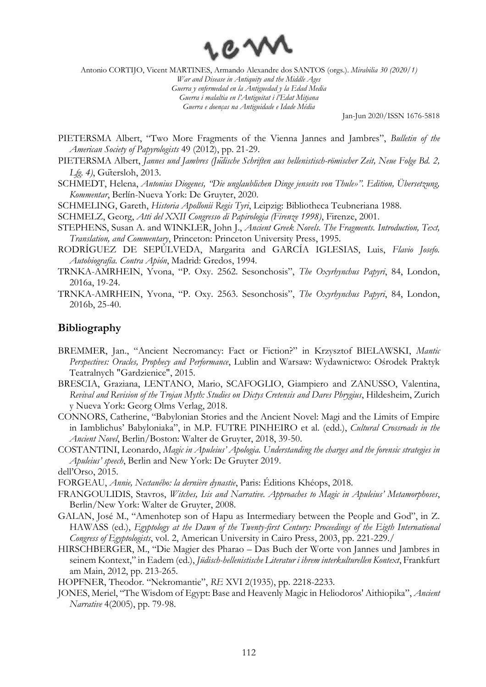

Jan-Jun 2020/ISSN 1676-5818

- PIETERSMA Albert, "Two More Fragments of the Vienna Jannes and Jambres", *Bulletin of the American Society of Papyrologists* 49 (2012), pp. 21-29.
- PIETERSMA Albert, *Jannes und Jambres (Jüdische Schriften aus hellenistisch-römischer Zeit, Neue Folge Bd. 2, Lfg. 4)*, Gütersloh, 2013.
- SCHMEDT, Helena, *Antonius Diogenes, "Die unglaublichen Dinge jenseits von Thule»". Edition, Übersetzung, Kommentar*, Berlín-Nueva York: De Gruyter, 2020.
- SCHMELING, Gareth, *Historia Apollonii Regis Tyri*, Leipzig: Bibliotheca Teubneriana 1988.
- SCHMELZ, Georg, *Atti del XXII Congresso di Papirologia (Firenze 1998)*, Firenze, 2001.
- STEPHENS, Susan A. and WINKLER, John J., *Ancient Greek Novels. The Fragments. Introduction, Text, Translation, and Commentary*, Princeton: Princeton University Press, 1995.
- RODRÍGUEZ DE SEPÚLVEDA, Margarita and GARCÍA IGLESIAS, Luis, *Flavio Josefo. Autobiografía. Contra Apión*, Madrid: Gredos, 1994.
- TRNKA-AMRHEIN, Yvona, "P. Oxy. 2562. Sesonchosis", *The Oxyrhynchus Papyri*, 84, London, 2016a, 19-24.
- TRNKA-AMRHEIN, Yvona, "P. Oxy. 2563. Sesonchosis", *The Oxyrhynchus Papyri*, 84, London, 2016b, 25-40.

#### **Bibliography**

- BREMMER, Jan., "Ancient Necromancy: Fact or Fiction?" in Krzysztof BIELAWSKI, *Mantic Perspectives: Oracles, Prophecy and Performance*, Lublin and Warsaw: Wydawnictwo: Ośrodek Praktyk Teatralnych "Gardzienice", 2015.
- BRESCIA, Graziana, LENTANO, Mario, SCAFOGLIO, Giampiero and ZANUSSO, Valentina, *Revival and Revision of the Trojan Myth: Studies on Dictys Cretensis and Dares Phrygius*, Hildesheim, Zurich y Nueva York: Georg Olms Verlag, 2018.
- CONNORS, Catherine, "Babylonian Stories and the Ancient Novel: Magi and the Limits of Empire in Iamblichus' Babyloniaka", in M.P. FUTRE PINHEIRO et al. (edd.), *Cultural Crossroads in the Ancient Novel*, Berlin/Boston: Walter de Gruyter, 2018, 39-50.
- COSTANTINI, Leonardo, *Magic in Apuleius' Apologia. Understanding the charges and the forensic strategies in Apuleius' speech*, Berlin and New York: De Gruyter 2019.

dell'Orso, 2015.

FORGEAU, *Annie, Nectanébo: la dernière dynastie*, Paris: Éditions Khéops, 2018.

- FRANGOULIDIS, Stavros, *Witches, Isis and Narrative. Approaches to Magic in Apuleius' Metamorphoses*, Berlin/New York: Walter de Gruyter, 2008.
- GALAN, José M., "Amenhotep son of Hapu as Intermediary between the People and God", in Z. HAWASS (ed.), *Egyptology at the Dawn of the Twenty-first Century: Proceedings of the Eigth International Congress of Egyptologists*, vol. 2, American University in Cairo Press, 2003, pp. 221-229./
- HIRSCHBERGER, M., "Die Magier des Pharao Das Buch der Worte von Jannes und Jambres in seinem Kontext," in Eadem (ed.), *Jüdisch-hellenistische Literatur i ihrem interkulturellen Kontext*, Frankfurt am Main, 2012, pp. 213-265.

HOPFNER, Theodor. "Nekromantie", *RE* XVI 2(1935), pp. 2218-2233.

JONES, Meriel, "The Wisdom of Egypt: Base and Heavenly Magic in Heliodoros' Aithiopika", *Ancient Narrative* 4(2005), pp. 79-98.